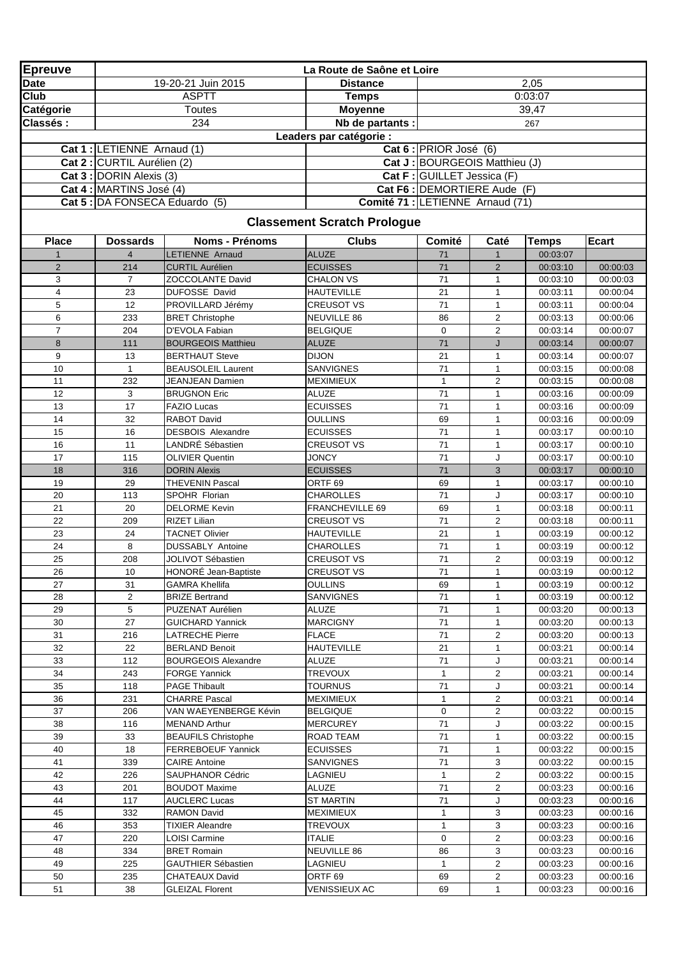| <b>Epreuve</b> |                                |                                                    | La Route de Saône et Loire          |                            |                               |                      |                      |
|----------------|--------------------------------|----------------------------------------------------|-------------------------------------|----------------------------|-------------------------------|----------------------|----------------------|
| <b>Date</b>    |                                | 19-20-21 Juin 2015                                 | <b>Distance</b>                     |                            |                               | 2,05                 |                      |
| Club           |                                | <b>ASPTT</b>                                       | <b>Temps</b>                        |                            |                               | 0:03:07              |                      |
| Catégorie      |                                | Toutes                                             | <b>Moyenne</b>                      |                            |                               | 39,47                |                      |
| Classés:       |                                | 234                                                | Nb de partants :                    |                            |                               | 267                  |                      |
|                |                                |                                                    | Leaders par catégorie :             |                            |                               |                      |                      |
|                | Cat 1 : LETIENNE Arnaud (1)    |                                                    |                                     | Cat 6 : PRIOR José (6)     |                               |                      |                      |
|                | Cat 2 : CURTIL Aurélien (2)    |                                                    |                                     |                            | Cat J: BOURGEOIS Matthieu (J) |                      |                      |
|                | Cat 3 : DORIN Alexis (3)       |                                                    |                                     | Cat F: GUILLET Jessica (F) |                               |                      |                      |
|                | Cat 4 : MARTINS José (4)       |                                                    |                                     |                            | Cat F6 : DEMORTIERE Aude (F)  |                      |                      |
|                | Cat 5 : DA FONSECA Eduardo (5) |                                                    | Comité 71 : LETIENNE Arnaud (71)    |                            |                               |                      |                      |
|                |                                |                                                    |                                     |                            |                               |                      |                      |
|                |                                |                                                    | <b>Classement Scratch Prologue</b>  |                            |                               |                      |                      |
| <b>Place</b>   | <b>Dossards</b>                | <b>Noms - Prénoms</b>                              | <b>Clubs</b>                        | Comité                     | Caté                          | <b>Temps</b>         | <b>Ecart</b>         |
| $\mathbf{1}$   | $\overline{4}$                 | <b>LETIENNE Arnaud</b>                             | <b>ALUZE</b>                        | 71                         | $\mathbf{1}$                  | 00:03:07             |                      |
| $\overline{2}$ | 214                            | <b>CURTIL Aurélien</b>                             | <b>ECUISSES</b>                     | 71                         | $\overline{2}$                | 00:03:10             | 00:00:03             |
| 3              | $\overline{7}$                 | ZOCCOLANTE David                                   | <b>CHALON VS</b>                    | 71                         | $\mathbf{1}$                  | 00:03:10             | 00:00:03             |
| $\overline{4}$ | 23                             | DUFOSSE David                                      | <b>HAUTEVILLE</b>                   | 21                         | $\mathbf{1}$                  | 00:03:11             | 00:00:04             |
| 5              | 12                             | PROVILLARD Jérémy                                  | <b>CREUSOT VS</b>                   | 71                         | $\mathbf{1}$                  | 00:03:11             | 00:00:04             |
| 6              | 233                            | <b>BRET Christophe</b>                             | <b>NEUVILLE 86</b>                  | 86                         | 2                             | 00:03:13             | 00:00:06             |
| $\overline{7}$ | 204                            | D'EVOLA Fabian                                     | <b>BELGIQUE</b>                     | $\mathbf 0$                | $\overline{2}$                | 00:03:14             | 00:00:07             |
| 8              | 111                            | <b>BOURGEOIS Matthieu</b>                          | <b>ALUZE</b>                        | 71                         | J                             | 00:03:14             | 00:00:07             |
| 9              | 13                             | <b>BERTHAUT Steve</b>                              | <b>DIJON</b>                        | 21                         | 1                             | 00:03:14             | 00:00:07             |
| 10             | $\mathbf{1}$                   | <b>BEAUSOLEIL Laurent</b>                          | <b>SANVIGNES</b>                    | 71                         | $\mathbf{1}$                  | 00:03:15             | 00:00:08             |
| 11             | 232                            | JEANJEAN Damien                                    | <b>MEXIMIEUX</b>                    | $\mathbf{1}$               | $\overline{2}$                | 00:03:15             | 00:00:08             |
| 12             | 3                              | <b>BRUGNON Eric</b>                                | <b>ALUZE</b>                        | 71                         | $\mathbf{1}$                  | 00:03:16             | 00:00:09             |
| 13             | 17                             | <b>FAZIO Lucas</b>                                 | <b>ECUISSES</b>                     | 71                         | $\mathbf{1}$                  | 00:03:16             | 00:00:09             |
| 14             | 32                             | RABOT David                                        | <b>OULLINS</b>                      | 69                         | $\mathbf{1}$                  | 00:03:16             | 00:00:09             |
| 15             | 16                             | <b>DESBOIS Alexandre</b>                           | <b>ECUISSES</b>                     | 71                         | $\mathbf{1}$                  | 00:03:17             | 00:00:10             |
| 16             | 11                             | LANDRÉ Sébastien                                   | <b>CREUSOT VS</b>                   | 71                         | $\mathbf{1}$                  | 00:03:17             | 00:00:10             |
| 17             | 115                            | <b>OLIVIER Quentin</b>                             | <b>JONCY</b>                        | 71                         | J                             | 00:03:17             | 00:00:10             |
| 18             | 316                            | <b>DORIN Alexis</b>                                | <b>ECUISSES</b>                     | 71                         | 3                             | 00:03:17             | 00:00:10             |
| 19             | 29                             | THEVENIN Pascal                                    | ORTF <sub>69</sub>                  | 69                         | $\mathbf{1}$                  | 00:03:17             | 00:00:10             |
| 20             | 113                            | SPOHR Florian                                      | <b>CHAROLLES</b>                    | 71                         | J                             | 00:03:17             | 00:00:10             |
| 21             | 20                             | <b>DELORME Kevin</b>                               | FRANCHEVILLE 69                     | 69                         | $\mathbf{1}$                  | 00:03:18             | 00:00:11             |
| 22             | 209                            | <b>RIZET Lilian</b>                                | <b>CREUSOT VS</b>                   | 71                         | $\overline{2}$                | 00:03:18             | 00:00:11             |
| 23             | 24                             | <b>TACNET Olivier</b>                              | <b>HAUTEVILLE</b>                   | 21                         | $\mathbf{1}$                  | 00:03:19             | 00:00:12             |
| 24             | 8                              | <b>DUSSABLY Antoine</b>                            | <b>CHAROLLES</b>                    | 71                         | $\mathbf{1}$                  | 00:03:19             | 00:00:12             |
| 25             | 208                            | <b>JOLIVOT Sébastien</b>                           | <b>CREUSOT VS</b>                   | 71                         | $\overline{2}$                | 00:03:19             | 00:00:12             |
| 26             | $10\,$                         | HONORÉ Jean-Baptiste                               | <b>CREUSOT VS</b>                   | 71                         | $\mathbf{1}$                  | 00:03:19             | 00:00:12             |
| 27             | 31                             | <b>GAMRA Khellifa</b>                              | <b>OULLINS</b>                      | 69                         | $\mathbf{1}$                  | 00:03:19             | 00:00:12             |
| 28             | $\overline{2}$                 | <b>BRIZE Bertrand</b>                              | <b>SANVIGNES</b>                    | 71                         | $\mathbf{1}$                  | 00:03:19             | 00:00:12             |
| 29             | 5                              | PUZENAT Aurélien                                   | <b>ALUZE</b>                        | 71                         | $\mathbf{1}$                  | 00:03:20             | 00:00:13             |
| 30             | 27                             | <b>GUICHARD Yannick</b>                            | <b>MARCIGNY</b>                     | 71                         | 1                             | 00:03:20             | 00:00:13             |
| 31             | 216<br>22                      | LATRECHE Pierre                                    | <b>FLACE</b>                        | 71                         | 2                             | 00:03:20             | 00:00:13             |
| 32<br>33       | 112                            | <b>BERLAND Benoit</b>                              | <b>HAUTEVILLE</b><br>ALUZE          | 21<br>71                   | $\mathbf{1}$<br>J             | 00:03:21<br>00:03:21 | 00:00:14             |
|                |                                | <b>BOURGEOIS Alexandre</b><br><b>FORGE Yannick</b> |                                     |                            |                               |                      | 00:00:14             |
| 34             | 243                            |                                                    | <b>TREVOUX</b><br><b>TOURNUS</b>    | 1                          | $\overline{c}$                | 00:03:21             | 00:00:14             |
| 35             | 118                            | <b>PAGE Thibault</b>                               |                                     | 71                         | J                             | 00:03:21             | 00:00:14             |
| 36<br>37       | 231<br>206                     | <b>CHARRE Pascal</b><br>VAN WAEYENBERGE Kévin      | <b>MEXIMIEUX</b><br><b>BELGIQUE</b> | 1<br>0                     | 2<br>$\overline{2}$           | 00:03:21<br>00:03:22 | 00:00:14             |
| 38             | 116                            | <b>MENAND Arthur</b>                               | <b>MERCUREY</b>                     | 71                         | J                             | 00:03:22             | 00:00:15             |
| 39             | 33                             | <b>BEAUFILS Christophe</b>                         | ROAD TEAM                           | 71                         | 1                             | 00:03:22             | 00:00:15<br>00:00:15 |
| 40             | 18                             | <b>FERREBOEUF Yannick</b>                          | <b>ECUISSES</b>                     | 71                         | $\mathbf{1}$                  | 00:03:22             | 00:00:15             |
| 41             | 339                            | <b>CAIRE Antoine</b>                               | <b>SANVIGNES</b>                    | 71                         | 3                             | 00:03:22             | 00:00:15             |
| 42             | 226                            | SAUPHANOR Cédric                                   | LAGNIEU                             | $\mathbf{1}$               | $\overline{2}$                | 00:03:22             | 00:00:15             |
| 43             | 201                            | <b>BOUDOT Maxime</b>                               | ALUZE                               | 71                         | 2                             | 00:03:23             | 00:00:16             |
| 44             | 117                            | AUCLERC Lucas                                      | <b>ST MARTIN</b>                    | 71                         | J                             | 00:03:23             | 00:00:16             |
| 45             | 332                            | RAMON David                                        | <b>MEXIMIEUX</b>                    | 1                          | 3                             | 00:03:23             | 00:00:16             |
| 46             | 353                            | TIXIER Aleandre                                    | <b>TREVOUX</b>                      | $\mathbf{1}$               | 3                             | 00:03:23             | 00:00:16             |
| 47             | 220                            | LOISI Carmine                                      | <b>ITALIE</b>                       | $\mathbf 0$                | $\overline{c}$                | 00:03:23             | 00:00:16             |
| 48             | 334                            | <b>BRET Romain</b>                                 | <b>NEUVILLE 86</b>                  | 86                         | 3                             | 00:03:23             | 00:00:16             |
| 49             | 225                            | <b>GAUTHIER Sébastien</b>                          | LAGNIEU                             | $\mathbf{1}$               | $\overline{a}$                | 00:03:23             | 00:00:16             |
| 50             | 235                            | CHATEAUX David                                     | ORTF <sub>69</sub>                  | 69                         | $\overline{a}$                | 00:03:23             | 00:00:16             |
| 51             | 38                             | <b>GLEIZAL Florent</b>                             | <b>VENISSIEUX AC</b>                | 69                         | $\mathbf{1}$                  | 00:03:23             | 00:00:16             |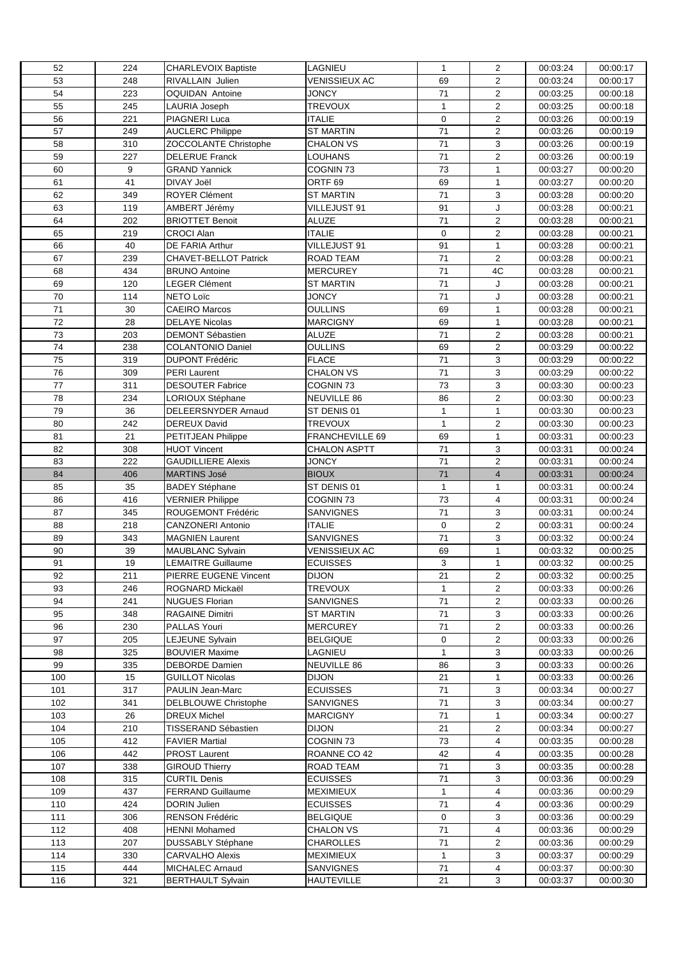| 52   | 224 | <b>CHARLEVOIX Baptiste</b> | LAGNIEU              | $\mathbf{1}$ | $\overline{2}$          | 00:03:24 | 00:00:17 |
|------|-----|----------------------------|----------------------|--------------|-------------------------|----------|----------|
| 53   | 248 | RIVALLAIN Julien           | VENISSIEUX AC        | 69           | $\overline{2}$          | 00:03:24 | 00:00:17 |
| 54   | 223 | <b>OQUIDAN Antoine</b>     | <b>JONCY</b>         | 71           | $\overline{2}$          | 00:03:25 | 00:00:18 |
| 55   | 245 | LAURIA Joseph              | <b>TREVOUX</b>       | $\mathbf{1}$ | $\overline{2}$          | 00:03:25 | 00:00:18 |
| 56   | 221 | PIAGNERI Luca              | <b>ITALIE</b>        | $\mathbf 0$  | $\overline{\mathbf{c}}$ | 00:03:26 | 00:00:19 |
| 57   | 249 | <b>AUCLERC Philippe</b>    | <b>ST MARTIN</b>     | 71           | $\overline{2}$          | 00:03:26 | 00:00:19 |
| 58   | 310 | ZOCCOLANTE Christophe      | <b>CHALON VS</b>     | 71           | 3                       | 00:03:26 | 00:00:19 |
| 59   | 227 | <b>DELERUE Franck</b>      | LOUHANS              | 71           | $\overline{c}$          |          |          |
|      |     |                            |                      |              |                         | 00:03:26 | 00:00:19 |
| 60   | 9   | <b>GRAND Yannick</b>       | COGNIN <sub>73</sub> | 73           | $\mathbf{1}$            | 00:03:27 | 00:00:20 |
| 61   | 41  | DIVAY Joël                 | ORTF <sub>69</sub>   | 69           | $\mathbf{1}$            | 00:03:27 | 00:00:20 |
| 62   | 349 | <b>ROYER Clément</b>       | <b>ST MARTIN</b>     | 71           | 3                       | 00:03:28 | 00:00:20 |
| 63   | 119 | AMBERT Jérémy              | VILLEJUST 91         | 91           | J                       | 00:03:28 | 00:00:21 |
| 64   | 202 | <b>BRIOTTET Benoit</b>     | <b>ALUZE</b>         | 71           | $\overline{2}$          | 00:03:28 | 00:00:21 |
| 65   | 219 | <b>CROCI Alan</b>          | ITALIE               | $\mathbf 0$  | $\overline{2}$          | 00:03:28 | 00:00:21 |
| 66   | 40  | DE FARIA Arthur            | VILLEJUST 91         | 91           | $\mathbf{1}$            | 00:03:28 | 00:00:21 |
| 67   | 239 | CHAVET-BELLOT Patrick      | ROAD TEAM            | 71           | $\overline{2}$          | 00:03:28 | 00:00:21 |
| 68   | 434 | <b>BRUNO Antoine</b>       | <b>MERCUREY</b>      | 71           | 4C                      | 00:03:28 | 00:00:21 |
| 69   | 120 | <b>LEGER Clément</b>       | <b>ST MARTIN</b>     | 71           | J                       | 00:03:28 | 00:00:21 |
| 70   | 114 | NETO Loïc                  | <b>JONCY</b>         | 71           | J                       | 00:03:28 | 00:00:21 |
| $71$ | 30  | <b>CAEIRO Marcos</b>       | <b>OULLINS</b>       | 69           | $\mathbf{1}$            | 00:03:28 | 00:00:21 |
| 72   | 28  | <b>DELAYE Nicolas</b>      | <b>MARCIGNY</b>      | 69           | 1                       | 00:03:28 | 00:00:21 |
| 73   | 203 | <b>DEMONT Sébastien</b>    | ALUZE                | 71           | $\overline{2}$          | 00:03:28 | 00:00:21 |
| 74   | 238 | <b>COLANTONIO Daniel</b>   | <b>OULLINS</b>       | 69           | $\overline{2}$          | 00:03:29 | 00:00:22 |
|      |     |                            |                      |              |                         |          |          |
| 75   | 319 | <b>DUPONT Frédéric</b>     | <b>FLACE</b>         | 71           | 3                       | 00:03:29 | 00:00:22 |
| 76   | 309 | <b>PERI Laurent</b>        | <b>CHALON VS</b>     | 71           | 3                       | 00:03:29 | 00:00:22 |
| 77   | 311 | <b>DESOUTER Fabrice</b>    | COGNIN <sub>73</sub> | 73           | 3                       | 00:03:30 | 00:00:23 |
| 78   | 234 | LORIOUX Stéphane           | NEUVILLE 86          | 86           | $\overline{2}$          | 00:03:30 | 00:00:23 |
| 79   | 36  | DELEERSNYDER Arnaud        | ST DENIS 01          | $\mathbf{1}$ | $\mathbf{1}$            | 00:03:30 | 00:00:23 |
| 80   | 242 | <b>DEREUX David</b>        | <b>TREVOUX</b>       | $\mathbf{1}$ | $\overline{2}$          | 00:03:30 | 00:00:23 |
| 81   | 21  | PETITJEAN Philippe         | FRANCHEVILLE 69      | 69           | $\mathbf{1}$            | 00:03:31 | 00:00:23 |
| 82   | 308 | <b>HUOT Vincent</b>        | <b>CHALON ASPTT</b>  | 71           | 3                       | 00:03:31 | 00:00:24 |
| 83   | 222 | <b>GAUDILLIERE Alexis</b>  | <b>JONCY</b>         | 71           | $\overline{c}$          | 00:03:31 | 00:00:24 |
| 84   | 406 | <b>MARTINS José</b>        | <b>BIOUX</b>         | 71           | $\overline{\mathbf{4}}$ | 00:03:31 | 00:00:24 |
| 85   | 35  | <b>BADEY Stéphane</b>      | ST DENIS 01          | $\mathbf{1}$ | $\mathbf{1}$            | 00:03:31 | 00:00:24 |
| 86   | 416 | <b>VERNIER Philippe</b>    | COGNIN <sub>73</sub> | 73           | 4                       | 00:03:31 | 00:00:24 |
| 87   | 345 | ROUGEMONT Frédéric         | <b>SANVIGNES</b>     | 71           | 3                       | 00:03:31 | 00:00:24 |
| 88   | 218 | CANZONERI Antonio          | ITALIE               | $\mathbf 0$  | $\overline{c}$          | 00:03:31 | 00:00:24 |
| 89   | 343 | <b>MAGNIEN Laurent</b>     | <b>SANVIGNES</b>     | 71           | 3                       | 00:03:32 | 00:00:24 |
| 90   | 39  | <b>MAUBLANC Sylvain</b>    | <b>VENISSIEUX AC</b> | 69           | $\mathbf{1}$            | 00:03:32 | 00:00:25 |
| 91   | 19  | <b>LEMAITRE Guillaume</b>  | <b>ECUISSES</b>      | 3            | $\mathbf{1}$            | 00:03:32 | 00:00:25 |
|      |     |                            |                      |              |                         |          |          |
| 92   | 211 | PIERRE EUGENE Vincent      | <b>DIJON</b>         | 21           | $\overline{2}$          | 00:03:32 | 00:00:25 |
| 93   | 246 | ROGNARD Mickaël            | <b>TREVOUX</b>       | $\mathbf{1}$ | $\overline{2}$          | 00:03:33 | 00:00:26 |
| 94   | 241 | <b>NUGUES Florian</b>      | SANVIGNES            | 71           | 2                       | 00:03:33 | 00:00:26 |
| 95   | 348 | RAGAINE Dimitri            | <b>ST MARTIN</b>     | 71           | 3                       | 00:03:33 | 00:00:26 |
| 96   | 230 | PALLAS Youri               | <b>MERCUREY</b>      | 71           | $\overline{c}$          | 00:03:33 | 00:00:26 |
| 97   | 205 | LEJEUNE Sylvain            | <b>BELGIQUE</b>      | 0            | $\overline{a}$          | 00:03:33 | 00:00:26 |
| 98   | 325 | <b>BOUVIER Maxime</b>      | LAGNIEU              | $\mathbf{1}$ | 3                       | 00:03:33 | 00:00:26 |
| 99   | 335 | <b>DEBORDE Damien</b>      | NEUVILLE 86          | 86           | 3                       | 00:03:33 | 00:00:26 |
| 100  | 15  | <b>GUILLOT Nicolas</b>     | <b>DIJON</b>         | 21           | $\mathbf{1}$            | 00:03:33 | 00:00:26 |
| 101  | 317 | PAULIN Jean-Marc           | <b>ECUISSES</b>      | 71           | 3                       | 00:03:34 | 00:00:27 |
| 102  | 341 | DELBLOUWE Christophe       | <b>SANVIGNES</b>     | 71           | 3                       | 00:03:34 | 00:00:27 |
| 103  | 26  | <b>DREUX Michel</b>        | <b>MARCIGNY</b>      | 71           | 1                       | 00:03:34 | 00:00:27 |
| 104  | 210 | TISSERAND Sébastien        | <b>DIJON</b>         | 21           | $\overline{2}$          | 00:03:34 | 00:00:27 |
| 105  | 412 | <b>FAVIER Martial</b>      | COGNIN 73            | 73           | 4                       | 00:03:35 | 00:00:28 |
| 106  | 442 | <b>PROST Laurent</b>       | ROANNE CO 42         | 42           | 4                       | 00:03:35 | 00:00:28 |
| 107  | 338 | <b>GIROUD Thierry</b>      | ROAD TEAM            | 71           | 3                       | 00:03:35 | 00:00:28 |
| 108  | 315 | <b>CURTIL Denis</b>        | <b>ECUISSES</b>      | 71           | 3                       | 00:03:36 | 00:00:29 |
| 109  | 437 | FERRAND Guillaume          | <b>MEXIMIEUX</b>     | $\mathbf{1}$ | 4                       | 00:03:36 | 00:00:29 |
| 110  | 424 | DORIN Julien               | <b>ECUISSES</b>      | 71           | 4                       | 00:03:36 | 00:00:29 |
| 111  | 306 | RENSON Frédéric            | <b>BELGIQUE</b>      | 0            | 3                       | 00:03:36 | 00:00:29 |
| 112  | 408 |                            |                      |              | 4                       |          |          |
|      |     | HENNI Mohamed              | CHALON VS            | 71           |                         | 00:03:36 | 00:00:29 |
| 113  | 207 | DUSSABLY Stéphane          | <b>CHAROLLES</b>     | 71           | $\overline{a}$          | 00:03:36 | 00:00:29 |
| 114  | 330 | <b>CARVALHO Alexis</b>     | <b>MEXIMIEUX</b>     | $\mathbf{1}$ | 3                       | 00:03:37 | 00:00:29 |
| 115  | 444 | <b>MICHALEC Arnaud</b>     | <b>SANVIGNES</b>     | 71           | 4                       | 00:03:37 | 00:00:30 |
| 116  | 321 | <b>BERTHAULT Sylvain</b>   | <b>HAUTEVILLE</b>    | 21           | 3                       | 00:03:37 | 00:00:30 |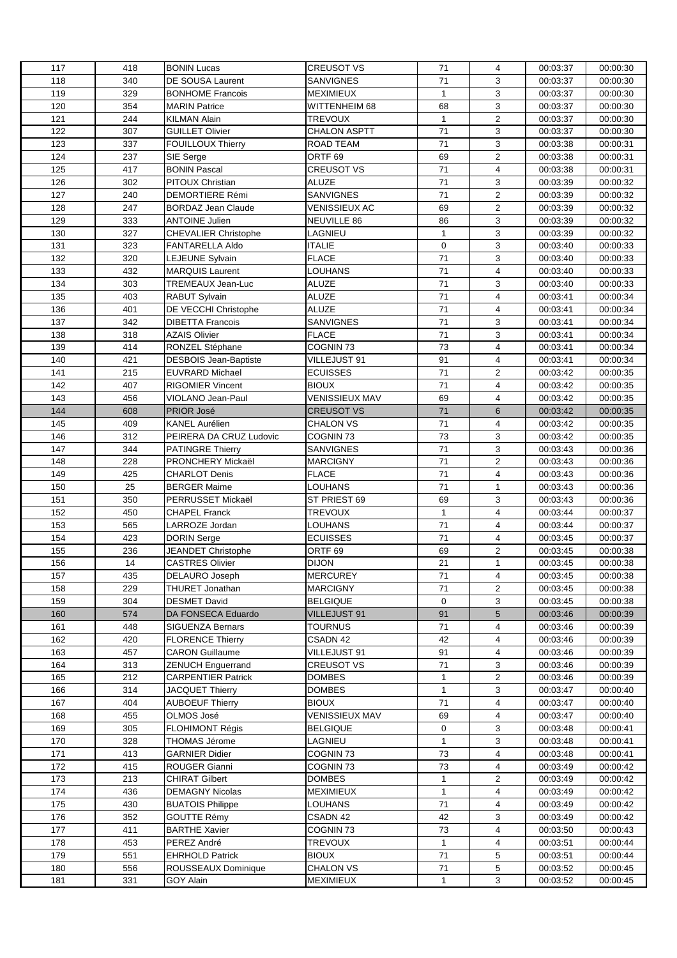| 117 | 418        | <b>BONIN Lucas</b>           | <b>CREUSOT VS</b>                 | 71           | 4                       | 00:03:37 | 00:00:30 |
|-----|------------|------------------------------|-----------------------------------|--------------|-------------------------|----------|----------|
| 118 | 340        | DE SOUSA Laurent             | <b>SANVIGNES</b>                  | 71           | 3                       | 00:03:37 | 00:00:30 |
| 119 | 329        | <b>BONHOME Francois</b>      | <b>MEXIMIEUX</b>                  | $\mathbf{1}$ | 3                       | 00:03:37 | 00:00:30 |
| 120 | 354        | <b>MARIN Patrice</b>         | WITTENHEIM 68                     | 68           | 3                       | 00:03:37 | 00:00:30 |
| 121 | 244        | <b>KILMAN Alain</b>          | <b>TREVOUX</b>                    | $\mathbf{1}$ | $\overline{2}$          | 00:03:37 | 00:00:30 |
| 122 | 307        | <b>GUILLET Olivier</b>       | <b>CHALON ASPTT</b>               | 71           | 3                       | 00:03:37 | 00:00:30 |
| 123 | 337        | <b>FOUILLOUX Thierry</b>     | ROAD TEAM                         | 71           | 3                       | 00:03:38 | 00:00:31 |
| 124 | 237        | SIE Serge                    | ORTF <sub>69</sub>                | 69           | $\overline{2}$          | 00:03:38 | 00:00:31 |
| 125 | 417        | <b>BONIN Pascal</b>          | <b>CREUSOT VS</b>                 | 71           | 4                       | 00:03:38 | 00:00:31 |
| 126 | 302        | PITOUX Christian             | <b>ALUZE</b>                      | 71           | 3                       | 00:03:39 | 00:00:32 |
| 127 | 240        | <b>DEMORTIERE Rémi</b>       | <b>SANVIGNES</b>                  | 71           | $\overline{2}$          | 00:03:39 | 00:00:32 |
| 128 | 247        | BORDAZ Jean Claude           | <b>VENISSIEUX AC</b>              | 69           | $\overline{\mathbf{c}}$ | 00:03:39 | 00:00:32 |
| 129 | 333        | <b>ANTOINE Julien</b>        | NEUVILLE 86                       | 86           | 3                       | 00:03:39 | 00:00:32 |
| 130 | 327        | <b>CHEVALIER Christophe</b>  | LAGNIEU                           | $\mathbf{1}$ | 3                       | 00:03:39 | 00:00:32 |
| 131 | 323        | FANTARELLA Aldo              | ITALIE                            | $\mathbf 0$  | 3                       | 00:03:40 | 00:00:33 |
| 132 | 320        | LEJEUNE Sylvain              | <b>FLACE</b>                      | 71           | 3                       | 00:03:40 | 00:00:33 |
| 133 | 432        | MARQUIS Laurent              | LOUHANS                           | 71           | $\overline{4}$          | 00:03:40 | 00:00:33 |
| 134 |            |                              | <b>ALUZE</b>                      |              | 3                       | 00:03:40 | 00:00:33 |
|     | 303        | TREMEAUX Jean-Luc            |                                   | 71           |                         |          |          |
| 135 | 403        | <b>RABUT Sylvain</b>         | <b>ALUZE</b>                      | 71           | 4                       | 00:03:41 | 00:00:34 |
| 136 | 401        | DE VECCHI Christophe         | <b>ALUZE</b>                      | $71$         | 4                       | 00:03:41 | 00:00:34 |
| 137 | 342        | <b>DIBETTA Francois</b>      | <b>SANVIGNES</b>                  | $71$         | 3                       | 00:03:41 | 00:00:34 |
| 138 | 318        | <b>AZAIS Olivier</b>         | <b>FLACE</b>                      | 71           | 3                       | 00:03:41 | 00:00:34 |
| 139 | 414        | RONZEL Stéphane              | COGNIN <sub>73</sub>              | 73           | $\overline{4}$          | 00:03:41 | 00:00:34 |
| 140 | 421        | <b>DESBOIS Jean-Baptiste</b> | VILLEJUST 91                      | 91           | $\overline{4}$          | 00:03:41 | 00:00:34 |
| 141 | 215        | EUVRARD Michael              | <b>ECUISSES</b>                   | 71           | 2                       | 00:03:42 | 00:00:35 |
| 142 | 407        | <b>RIGOMIER Vincent</b>      | <b>BIOUX</b>                      | 71           | 4                       | 00:03:42 | 00:00:35 |
| 143 | 456        | VIOLANO Jean-Paul            | <b>VENISSIEUX MAV</b>             | 69           | 4                       | 00:03:42 | 00:00:35 |
| 144 | 608        | <b>PRIOR José</b>            | <b>CREUSOT VS</b>                 | $71$         | 6                       | 00:03:42 | 00:00:35 |
| 145 | 409        | <b>KANEL Aurélien</b>        | <b>CHALON VS</b>                  | 71           | 4                       | 00:03:42 | 00:00:35 |
| 146 | 312        | PEIRERA DA CRUZ Ludovic      | COGNIN 73                         | 73           | 3                       | 00:03:42 | 00:00:35 |
| 147 | 344        | PATINGRE Thierry             | <b>SANVIGNES</b>                  | 71           | 3                       | 00:03:43 | 00:00:36 |
| 148 | 228        | PRONCHERY Mickaël            | <b>MARCIGNY</b>                   | $71$         | $\overline{c}$          | 00:03:43 | 00:00:36 |
| 149 | 425        | <b>CHARLOT Denis</b>         | <b>FLACE</b>                      | 71           | $\overline{4}$          | 00:03:43 | 00:00:36 |
| 150 | 25         | <b>BERGER Maime</b>          | <b>LOUHANS</b>                    | 71           | 1                       | 00:03:43 | 00:00:36 |
| 151 | 350        | PERRUSSET Mickaël            | ST PRIEST 69                      | 69           | 3                       | 00:03:43 | 00:00:36 |
| 152 | 450        | <b>CHAPEL Franck</b>         | <b>TREVOUX</b>                    | $\mathbf{1}$ | 4                       | 00:03:44 | 00:00:37 |
| 153 | 565        | LARROZE Jordan               | LOUHANS                           | 71           | 4                       | 00:03:44 | 00:00:37 |
| 154 | 423        | <b>DORIN Serge</b>           | <b>ECUISSES</b>                   | 71           | $\overline{4}$          | 00:03:45 | 00:00:37 |
| 155 | 236        | JEANDET Christophe           | ORTF <sub>69</sub>                | 69           | $\overline{c}$          | 00:03:45 | 00:00:38 |
| 156 | 14         | <b>CASTRES Olivier</b>       | <b>DIJON</b>                      | 21           | $\mathbf{1}$            | 00:03:45 | 00:00:38 |
| 157 | 435        | DELAURO Joseph               | <b>MERCUREY</b>                   | 71           | 4                       | 00:03:45 | 00:00:38 |
| 158 | 229        | <b>THURET Jonathan</b>       | <b>MARCIGNY</b>                   | 71           | $\overline{2}$          | 00:03:45 | 00:00:38 |
| 159 | 304        | <b>DESMET David</b>          | <b>BELGIQUE</b>                   | 0            | 3                       | 00:03:45 | 00:00:38 |
| 160 | 574        |                              | <b>VILLEJUST 91</b>               | 91           | 5                       |          |          |
|     |            | DA FONSECA Eduardo           |                                   |              |                         | 00:03:46 | 00:00:39 |
| 161 | 448<br>420 | SIGUENZA Bernars             | <b>TOURNUS</b>                    | 71<br>42     | 4<br>4                  | 00:03:46 | 00:00:39 |
| 162 |            | <b>FLORENCE Thierry</b>      | CSADN 42                          | 91           | $\overline{4}$          | 00:03:46 | 00:00:39 |
| 163 | 457        | <b>CARON Guillaume</b>       | VILLEJUST 91<br><b>CREUSOT VS</b> |              |                         | 00:03:46 | 00:00:39 |
| 164 | 313        | <b>ZENUCH Enguerrand</b>     |                                   | 71           | 3                       | 00:03:46 | 00:00:39 |
| 165 | 212        | <b>CARPENTIER Patrick</b>    | <b>DOMBES</b>                     | $\mathbf{1}$ | $\overline{2}$          | 00:03:46 | 00:00:39 |
| 166 | 314        | <b>JACQUET Thierry</b>       | <b>DOMBES</b>                     | $\mathbf{1}$ | 3                       | 00:03:47 | 00:00:40 |
| 167 | 404        | <b>AUBOEUF Thierry</b>       | <b>BIOUX</b>                      | 71           | 4                       | 00:03:47 | 00:00:40 |
| 168 | 455        | OLMOS José                   | <b>VENISSIEUX MAV</b>             | 69           | 4                       | 00:03:47 | 00:00:40 |
| 169 | 305        | FLOHIMONT Régis              | <b>BELGIQUE</b>                   | 0            | 3                       | 00:03:48 | 00:00:41 |
| 170 | 328        | THOMAS Jérome                | LAGNIEU                           | $\mathbf{1}$ | 3                       | 00:03:48 | 00:00:41 |
| 171 | 413        | <b>GARNIER Didier</b>        | COGNIN <sub>73</sub>              | 73           | 4                       | 00:03:48 | 00:00:41 |
| 172 | 415        | ROUGER Gianni                | COGNIN 73                         | 73           | 4                       | 00:03:49 | 00:00:42 |
| 173 | 213        | <b>CHIRAT Gilbert</b>        | <b>DOMBES</b>                     | $\mathbf{1}$ | $\overline{c}$          | 00:03:49 | 00:00:42 |
| 174 | 436        | DEMAGNY Nicolas              | <b>MEXIMIEUX</b>                  | $\mathbf{1}$ | 4                       | 00:03:49 | 00:00:42 |
| 175 | 430        | <b>BUATOIS Philippe</b>      | LOUHANS                           | 71           | 4                       | 00:03:49 | 00:00:42 |
| 176 | 352        | <b>GOUTTE Rémy</b>           | CSADN 42                          | 42           | 3                       | 00:03:49 | 00:00:42 |
| 177 | 411        | <b>BARTHE Xavier</b>         | COGNIN 73                         | 73           | 4                       | 00:03:50 | 00:00:43 |
| 178 | 453        | PEREZ André                  | <b>TREVOUX</b>                    | $\mathbf{1}$ | 4                       | 00:03:51 | 00:00:44 |
| 179 | 551        | <b>EHRHOLD Patrick</b>       | <b>BIOUX</b>                      | 71           | 5                       | 00:03:51 | 00:00:44 |
| 180 | 556        | ROUSSEAUX Dominique          | <b>CHALON VS</b>                  | 71           | 5                       | 00:03:52 | 00:00:45 |
| 181 | 331        | GOY Alain                    | <b>MEXIMIEUX</b>                  | $\mathbf{1}$ | 3                       | 00:03:52 | 00:00:45 |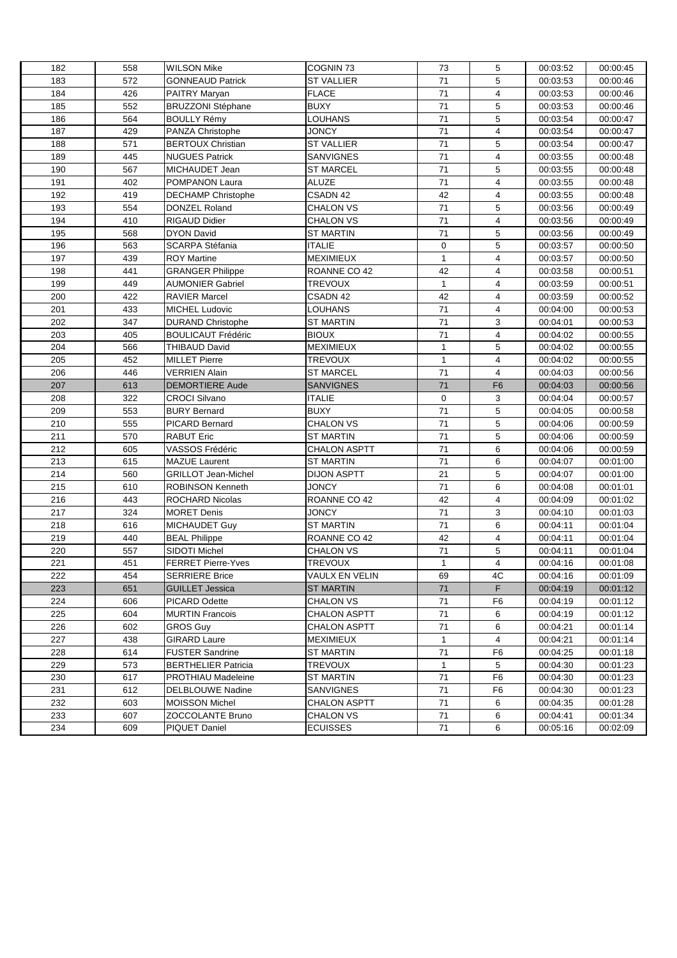| 182 | 558 | <b>WILSON Mike</b>         | COGNIN <sub>73</sub> | 73           | 5              | 00:03:52 | 00:00:45 |
|-----|-----|----------------------------|----------------------|--------------|----------------|----------|----------|
| 183 | 572 |                            | <b>ST VALLIER</b>    | 71           | 5              |          | 00:00:46 |
| 184 | 426 | <b>GONNEAUD Patrick</b>    | <b>FLACE</b>         | 71           | $\overline{4}$ | 00:03:53 |          |
| 185 |     | PAITRY Maryan              |                      | 71           | 5              | 00:03:53 | 00:00:46 |
|     | 552 | <b>BRUZZONI Stéphane</b>   | <b>BUXY</b>          |              |                | 00:03:53 | 00:00:46 |
| 186 | 564 | <b>BOULLY Rémy</b>         | <b>LOUHANS</b>       | 71           | 5              | 00:03:54 | 00:00:47 |
| 187 | 429 | PANZA Christophe           | <b>JONCY</b>         | 71           | 4              | 00:03:54 | 00:00:47 |
| 188 | 571 | <b>BERTOUX Christian</b>   | <b>ST VALLIER</b>    | 71           | 5              | 00:03:54 | 00:00:47 |
| 189 | 445 | <b>NUGUES Patrick</b>      | <b>SANVIGNES</b>     | 71           | 4              | 00:03:55 | 00:00:48 |
| 190 | 567 | MICHAUDET Jean             | ST MARCEL            | 71           | 5              | 00:03:55 | 00:00:48 |
| 191 | 402 | POMPANON Laura             | ALUZE                | 71           | $\overline{4}$ | 00:03:55 | 00:00:48 |
| 192 | 419 | <b>DECHAMP Christophe</b>  | CSADN 42             | 42           | 4              | 00:03:55 | 00:00:48 |
| 193 | 554 | DONZEL Roland              | <b>CHALON VS</b>     | 71           | 5              | 00:03:56 | 00:00:49 |
| 194 | 410 | RIGAUD Didier              | <b>CHALON VS</b>     | 71           | $\overline{4}$ | 00:03:56 | 00:00:49 |
| 195 | 568 | <b>DYON David</b>          | <b>ST MARTIN</b>     | 71           | 5              | 00:03:56 | 00:00:49 |
| 196 | 563 | <b>SCARPA Stéfania</b>     | <b>ITALIE</b>        | 0            | 5              | 00:03:57 | 00:00:50 |
| 197 | 439 | <b>ROY Martine</b>         | MEXIMIEUX            | $\mathbf{1}$ | $\overline{4}$ | 00:03:57 | 00:00:50 |
| 198 | 441 | <b>GRANGER Philippe</b>    | ROANNE CO 42         | 42           | $\overline{4}$ | 00:03:58 | 00:00:51 |
| 199 | 449 | <b>AUMONIER Gabriel</b>    | <b>TREVOUX</b>       | $\mathbf{1}$ | $\overline{4}$ | 00:03:59 | 00:00:51 |
| 200 | 422 | <b>RAVIER Marcel</b>       | CSADN 42             | 42           | $\overline{4}$ | 00:03:59 | 00:00:52 |
| 201 | 433 | <b>MICHEL Ludovic</b>      | <b>LOUHANS</b>       | 71           | 4              | 00:04:00 | 00:00:53 |
| 202 | 347 | <b>DURAND Christophe</b>   | <b>ST MARTIN</b>     | 71           | 3              | 00:04:01 | 00:00:53 |
| 203 | 405 | <b>BOULICAUT Frédéric</b>  | <b>BIOUX</b>         | 71           | 4              | 00:04:02 | 00:00:55 |
| 204 | 566 | THIBAUD David              | MEXIMIEUX            | $\mathbf{1}$ | 5              | 00:04:02 | 00:00:55 |
| 205 | 452 | <b>MILLET Pierre</b>       | <b>TREVOUX</b>       | $\mathbf{1}$ | $\overline{4}$ | 00:04:02 | 00:00:55 |
| 206 | 446 | <b>VERRIEN Alain</b>       | <b>ST MARCEL</b>     | 71           | $\overline{4}$ | 00:04:03 | 00:00:56 |
| 207 | 613 | <b>DEMORTIERE Aude</b>     | <b>SANVIGNES</b>     | 71           | F <sub>6</sub> | 00:04:03 | 00:00:56 |
| 208 | 322 | CROCI Silvano              | <b>ITALIE</b>        | $\mathbf 0$  | 3              | 00:04:04 | 00:00:57 |
| 209 | 553 | <b>BURY Bernard</b>        | BUXY                 | 71           | 5              | 00:04:05 | 00:00:58 |
| 210 | 555 | PICARD Bernard             | <b>CHALON VS</b>     | 71           | 5              | 00:04:06 | 00:00:59 |
| 211 | 570 | RABUT Eric                 | ST MARTIN            | 71           | 5              | 00:04:06 | 00:00:59 |
| 212 | 605 | VASSOS Frédéric            | <b>CHALON ASPTT</b>  | 71           | 6              | 00:04:06 | 00:00:59 |
| 213 | 615 | <b>MAZUE Laurent</b>       | <b>ST MARTIN</b>     | 71           | 6              | 00:04:07 | 00:01:00 |
| 214 | 560 | <b>GRILLOT Jean-Michel</b> | <b>DIJON ASPTT</b>   | 21           | 5              | 00:04:07 | 00:01:00 |
|     |     |                            | <b>JONCY</b>         | 71           | 6              |          |          |
| 215 | 610 | <b>ROBINSON Kenneth</b>    |                      |              |                | 00:04:08 | 00:01:01 |
| 216 | 443 | <b>ROCHARD Nicolas</b>     | ROANNE CO 42         | 42           | 4              | 00:04:09 | 00:01:02 |
| 217 | 324 | <b>MORET Denis</b>         | <b>JONCY</b>         | 71           | 3              | 00:04:10 | 00:01:03 |
| 218 | 616 | <b>MICHAUDET Guy</b>       | ST MARTIN            | 71           | 6              | 00:04:11 | 00:01:04 |
| 219 | 440 | <b>BEAL Philippe</b>       | ROANNE CO 42         | 42           | 4              | 00:04:11 | 00:01:04 |
| 220 | 557 | SIDOTI Michel              | <b>CHALON VS</b>     | 71           | 5              | 00:04:11 | 00:01:04 |
| 221 | 451 | <b>FERRET Pierre-Yves</b>  | <b>TREVOUX</b>       | $\mathbf{1}$ | 4              | 00:04:16 | 00:01:08 |
| 222 | 454 | <b>SERRIERE Brice</b>      | VAULX EN VELIN       | 69           | 4C             | 00:04:16 | 00:01:09 |
| 223 | 651 | <b>GUILLET Jessica</b>     | <b>ST MARTIN</b>     | 71           | F.             | 00:04:19 | 00:01:12 |
| 224 | 606 | PICARD Odette              | <b>CHALON VS</b>     | 71           | F6             | 00:04:19 | 00:01:12 |
| 225 | 604 | <b>MURTIN Francois</b>     | CHALON ASPTT         | 71           | 6              | 00:04:19 | 00:01:12 |
| 226 | 602 | <b>GROS Guy</b>            | <b>CHALON ASPTT</b>  | 71           | 6              | 00:04:21 | 00:01:14 |
| 227 | 438 | GIRARD Laure               | MEXIMIEUX            | $\mathbf{1}$ | 4              | 00:04:21 | 00:01:14 |
| 228 | 614 | <b>FUSTER Sandrine</b>     | ST MARTIN            | 71           | F <sub>6</sub> | 00:04:25 | 00:01:18 |
| 229 | 573 | <b>BERTHELIER Patricia</b> | <b>TREVOUX</b>       | $\mathbf{1}$ | 5              | 00:04:30 | 00:01:23 |
| 230 | 617 | PROTHIAU Madeleine         | <b>ST MARTIN</b>     | 71           | F <sub>6</sub> | 00:04:30 | 00:01:23 |
| 231 | 612 | DELBLOUWE Nadine           | <b>SANVIGNES</b>     | 71           | F <sub>6</sub> | 00:04:30 | 00:01:23 |
| 232 | 603 | <b>MOISSON Michel</b>      | <b>CHALON ASPTT</b>  | 71           | 6              | 00:04:35 | 00:01:28 |
| 233 | 607 | ZOCCOLANTE Bruno           | CHALON VS            | 71           | 6              | 00:04:41 | 00:01:34 |
| 234 | 609 | PIQUET Daniel              | <b>ECUISSES</b>      | 71           | 6              | 00:05:16 | 00:02:09 |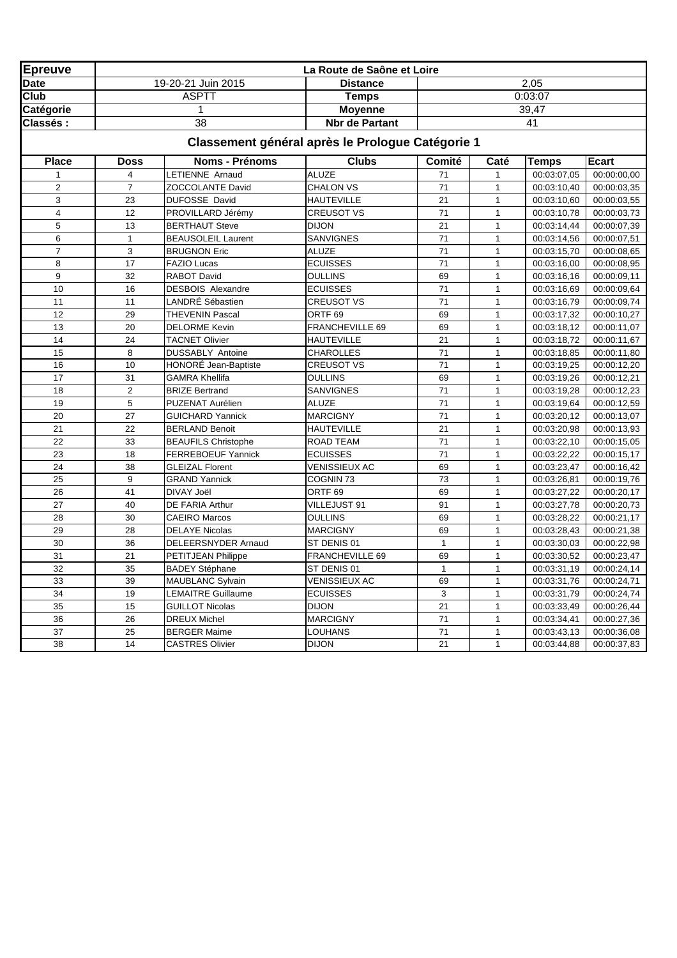| <b>Epreuve</b>          |                         |                            | La Route de Saône et Loire                       |                 |                |              |             |
|-------------------------|-------------------------|----------------------------|--------------------------------------------------|-----------------|----------------|--------------|-------------|
| <b>Date</b>             |                         | 19-20-21 Juin 2015         | <b>Distance</b>                                  |                 |                | 2,05         |             |
| Club                    |                         | <b>ASPTT</b>               | <b>Temps</b>                                     |                 |                | 0:03:07      |             |
| Catégorie               |                         | 1                          | <b>Moyenne</b>                                   |                 |                | 39,47        |             |
| Classés:                |                         | $\overline{38}$            | <b>Nbr</b> de Partant                            |                 |                | 41           |             |
|                         |                         |                            | Classement général après le Prologue Catégorie 1 |                 |                |              |             |
| <b>Place</b>            | <b>Doss</b>             | <b>Noms - Prénoms</b>      | <b>Clubs</b>                                     | Comité          | Caté           | <b>Temps</b> | Ecart       |
|                         | $\overline{\mathbf{4}}$ | LETIENNE Arnaud            | <b>ALUZE</b>                                     | 71              | 1              | 00:03:07.05  | 00:00:00,00 |
| $\overline{2}$          | $\overline{7}$          | ZOCCOLANTE David           | <b>CHALON VS</b>                                 | 71              | $\mathbf{1}$   | 00:03:10,40  | 00:00:03,35 |
| 3                       | 23                      | DUFOSSE David              | <b>HAUTEVILLE</b>                                | 21              | $\mathbf{1}$   | 00:03:10,60  | 00:00:03,55 |
| $\overline{\mathbf{4}}$ | 12                      | PROVILLARD Jérémy          | <b>CREUSOT VS</b>                                | 71              | $\mathbf{1}$   | 00:03:10,78  | 00:00:03,73 |
| 5                       | 13                      | <b>BERTHAUT Steve</b>      | <b>DIJON</b>                                     | 21              | $\mathbf{1}$   | 00:03:14,44  | 00:00:07,39 |
| 6                       | $\mathbf{1}$            | <b>BEAUSOLEIL Laurent</b>  | SANVIGNES                                        | $\overline{71}$ | $\mathbf{1}$   | 00:03:14,56  | 00:00:07,51 |
| $\overline{7}$          | 3                       | <b>BRUGNON Eric</b>        | <b>ALUZE</b>                                     | 71              | $\mathbf{1}$   | 00:03:15,70  | 00:00:08,65 |
| 8                       | 17                      | <b>FAZIO Lucas</b>         | <b>ECUISSES</b>                                  | $\overline{71}$ | $\mathbf{1}$   | 00:03:16,00  | 00:00:08,95 |
| 9                       | 32                      | RABOT David                | <b>OULLINS</b>                                   | 69              | $\mathbf{1}$   | 00:03:16,16  | 00:00:09,11 |
| 10                      | 16                      | <b>DESBOIS Alexandre</b>   | <b>ECUISSES</b>                                  | 71              | $\mathbf{1}$   | 00:03:16,69  | 00:00:09,64 |
| 11                      | 11                      | LANDRÉ Sébastien           | <b>CREUSOT VS</b>                                | $\overline{71}$ | $\mathbf{1}$   | 00:03:16,79  | 00:00:09,74 |
| 12                      | 29                      | <b>THEVENIN Pascal</b>     | ORTF <sub>69</sub>                               | 69              | $\mathbf{1}$   | 00:03:17,32  | 00:00:10,27 |
| 13                      | 20                      | <b>DELORME Kevin</b>       | FRANCHEVILLE 69                                  | 69              | $\mathbf{1}$   | 00:03:18,12  | 00:00:11,07 |
| 14                      | 24                      | <b>TACNET Olivier</b>      | <b>HAUTEVILLE</b>                                | 21              | $\mathbf{1}$   | 00:03:18,72  | 00:00:11,67 |
| 15                      | 8                       | DUSSABLY Antoine           | <b>CHAROLLES</b>                                 | 71              | $\mathbf{1}$   | 00:03:18,85  | 00:00:11,80 |
| 16                      | 10                      | HONORÉ Jean-Baptiste       | <b>CREUSOT VS</b>                                | $\overline{71}$ | $\mathbf{1}$   | 00:03:19,25  | 00:00:12,20 |
| 17                      | 31                      | <b>GAMRA Khellifa</b>      | <b>OULLINS</b>                                   | 69              | $\mathbf{1}$   | 00:03:19,26  | 00:00:12,21 |
| 18                      | $\overline{2}$          | <b>BRIZE Bertrand</b>      | SANVIGNES                                        | 71              | $\mathbf{1}$   | 00:03:19,28  | 00:00:12,23 |
| 19                      | 5                       | PUZENAT Aurélien           | <b>ALUZE</b>                                     | 71              | $\mathbf{1}$   | 00:03:19,64  | 00:00:12,59 |
| 20                      | 27                      | <b>GUICHARD Yannick</b>    | <b>MARCIGNY</b>                                  | 71              | $\overline{1}$ | 00:03:20,12  | 00:00:13,07 |
| 21                      | 22                      | <b>BERLAND Benoit</b>      | <b>HAUTEVILLE</b>                                | 21              | $\mathbf{1}$   | 00:03:20,98  | 00:00:13,93 |
| 22                      | 33                      | <b>BEAUFILS Christophe</b> | ROAD TEAM                                        | 71              | $\mathbf{1}$   | 00:03:22,10  | 00:00:15,05 |
| 23                      | 18                      | <b>FERREBOEUF Yannick</b>  | <b>ECUISSES</b>                                  | 71              | $\mathbf{1}$   | 00:03:22,22  | 00:00:15,17 |
| 24                      | 38                      | <b>GLEIZAL Florent</b>     | <b>VENISSIEUX AC</b>                             | 69              | $\mathbf{1}$   | 00:03:23,47  | 00:00:16,42 |
| 25                      | $\boldsymbol{9}$        | <b>GRAND Yannick</b>       | COGNIN <sub>73</sub>                             | $\overline{73}$ | $\mathbf{1}$   | 00:03:26,81  | 00:00:19,76 |
| 26                      | 41                      | DIVAY Joël                 | ORTF <sub>69</sub>                               | 69              | $\mathbf{1}$   | 00:03:27,22  | 00:00:20,17 |
| 27                      | 40                      | DE FARIA Arthur            | VILLEJUST 91                                     | 91              | $\mathbf{1}$   | 00:03:27,78  | 00:00:20,73 |
| 28                      | 30                      | <b>CAEIRO Marcos</b>       | <b>OULLINS</b>                                   | 69              | $\mathbf{1}$   | 00:03:28,22  | 00:00:21,17 |
| 29                      | 28                      | <b>DELAYE Nicolas</b>      | <b>MARCIGNY</b>                                  | 69              | $\mathbf{1}$   | 00:03:28,43  | 00:00:21,38 |
| 30                      | 36                      | DELEERSNYDER Arnaud        | ST DENIS 01                                      | $\mathbf{1}$    | $\mathbf{1}$   | 00:03:30,03  | 00:00:22,98 |
| 31                      | 21                      | PETITJEAN Philippe         | FRANCHEVILLE 69                                  | 69              | $\mathbf{1}$   | 00:03:30,52  | 00:00:23,47 |
| 32                      | 35                      | <b>BADEY Stéphane</b>      | ST DENIS 01                                      | $\mathbf{1}$    | $\mathbf{1}$   | 00:03:31,19  | 00:00:24,14 |
| 33                      | 39                      | <b>MAUBLANC Sylvain</b>    | <b>VENISSIEUX AC</b>                             | 69              | $\mathbf{1}$   | 00:03:31,76  | 00:00:24,71 |
| 34                      | 19                      | <b>LEMAITRE Guillaume</b>  | <b>ECUISSES</b>                                  | 3               | $\mathbf{1}$   | 00:03:31,79  | 00:00:24,74 |
| 35                      | 15                      | <b>GUILLOT Nicolas</b>     | <b>DIJON</b>                                     | $\overline{21}$ | $\mathbf{1}$   | 00:03:33,49  | 00:00:26,44 |
| 36                      | 26                      | <b>DREUX Michel</b>        | <b>MARCIGNY</b>                                  | 71              | $\mathbf{1}$   | 00:03:34,41  | 00:00:27,36 |
| 37                      | 25                      | <b>BERGER Maime</b>        | LOUHANS                                          | 71              | $\mathbf{1}$   | 00:03:43,13  | 00:00:36,08 |
| 38                      | 14                      | <b>CASTRES Olivier</b>     | <b>DIJON</b>                                     | 21              | $\mathbf{1}$   | 00:03:44,88  | 00:00:37,83 |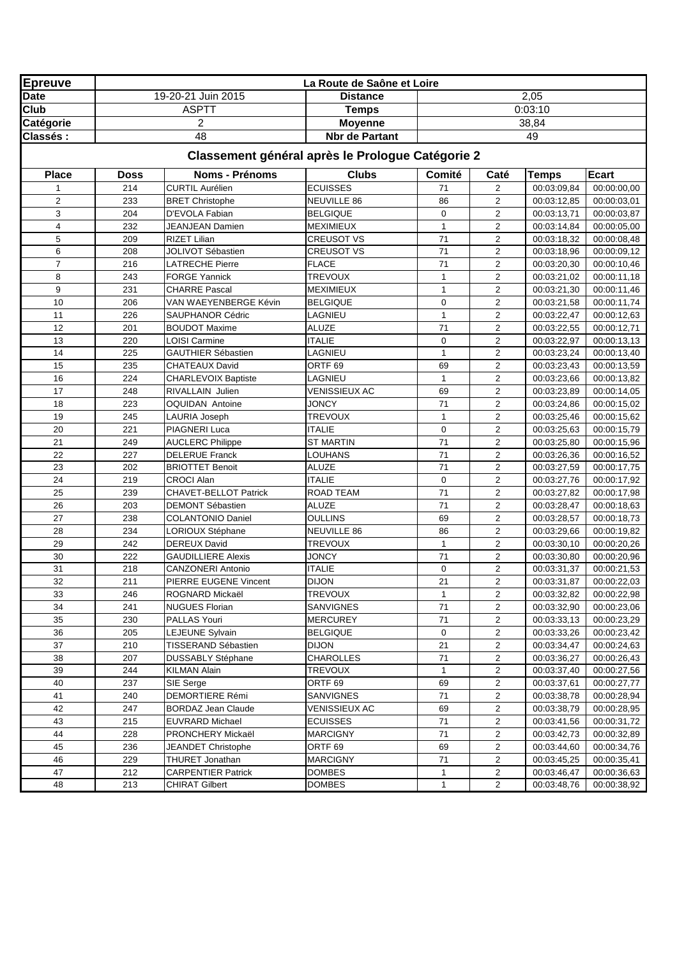| <b>Epreuve</b>  |                    |                                          | La Route de Saône et Loire                       |              |                         |                            |                             |
|-----------------|--------------------|------------------------------------------|--------------------------------------------------|--------------|-------------------------|----------------------------|-----------------------------|
| <b>Date</b>     |                    | 19-20-21 Juin 2015                       | <b>Distance</b>                                  |              |                         | 2,05                       |                             |
| Club            |                    | <b>ASPTT</b>                             | <b>Temps</b>                                     |              |                         | 0:03:10                    |                             |
| Catégorie       |                    | $\overline{2}$                           | <b>Moyenne</b>                                   |              |                         | 38,84                      |                             |
| <b>Classés:</b> |                    | 48                                       | <b>Nbr de Partant</b>                            |              |                         | 49                         |                             |
|                 |                    |                                          | Classement général après le Prologue Catégorie 2 |              |                         |                            |                             |
| <b>Place</b>    |                    | Noms - Prénoms                           |                                                  |              |                         |                            |                             |
|                 | <b>Doss</b><br>214 | <b>CURTIL Aurélien</b>                   | <b>Clubs</b><br><b>ECUISSES</b>                  | Comité<br>71 | Caté<br>2               | Temps<br>00:03:09,84       | <b>Ecart</b><br>00:00:00,00 |
| $\overline{2}$  | 233                | <b>BRET Christophe</b>                   | NEUVILLE 86                                      | 86           | $\overline{c}$          | 00:03:12,85                | 00:00:03,01                 |
| 3               | 204                | D'EVOLA Fabian                           | <b>BELGIQUE</b>                                  | 0            | $\overline{2}$          | 00:03:13,71                | 00:00:03,87                 |
| 4               | 232                | <b>JEANJEAN Damien</b>                   | <b>MEXIMIEUX</b>                                 | $\mathbf{1}$ | $\overline{2}$          | 00:03:14,84                | 00:00:05,00                 |
| 5               | 209                | RIZET Lilian                             | <b>CREUSOT VS</b>                                | 71           | $\overline{2}$          | 00:03:18,32                | 00:00:08,48                 |
| 6               | 208                | JOLIVOT Sébastien                        | <b>CREUSOT VS</b>                                | 71           | 2                       | 00:03:18,96                | 00:00:09,12                 |
| $\overline{7}$  | 216                | <b>LATRECHE Pierre</b>                   | <b>FLACE</b>                                     | 71           | $\overline{2}$          | 00:03:20,30                | 00:00:10,46                 |
| 8               | 243                | <b>FORGE Yannick</b>                     | <b>TREVOUX</b>                                   | 1            | $\overline{2}$          | 00:03:21,02                | 00:00:11,18                 |
| 9               | 231                | <b>CHARRE Pascal</b>                     | <b>MEXIMIEUX</b>                                 | $\mathbf{1}$ | $\overline{c}$          | 00:03:21,30                | 00:00:11,46                 |
| 10              | 206                | VAN WAEYENBERGE Kévin                    | <b>BELGIQUE</b>                                  | $\mathbf 0$  | $\overline{2}$          | 00:03:21,58                | 00:00:11,74                 |
| 11              | 226                | <b>SAUPHANOR Cédric</b>                  | LAGNIEU                                          | $\mathbf{1}$ | 2                       | 00:03:22,47                | 00:00:12,63                 |
| 12              | 201                | <b>BOUDOT Maxime</b>                     | <b>ALUZE</b>                                     | 71           | 2                       | 00:03:22,55                | 00:00:12,71                 |
| 13              | 220                | <b>LOISI Carmine</b>                     | ITALIE                                           | $\mathbf 0$  | $\overline{c}$          | 00:03:22,97                | 00:00:13,13                 |
| 14              | 225                | <b>GAUTHIER Sébastien</b>                | LAGNIEU                                          | 1            | $\overline{2}$          | 00:03:23,24                | 00:00:13,40                 |
| 15              | 235                | <b>CHATEAUX David</b>                    | ORTF <sub>69</sub>                               | 69           | $\overline{2}$          | 00:03:23,43                | 00:00:13,59                 |
| 16              | 224                | <b>CHARLEVOIX Baptiste</b>               | LAGNIEU                                          | $\mathbf{1}$ | $\overline{c}$          | 00:03:23,66                | 00:00:13,82                 |
| 17              | 248                | RIVALLAIN Julien                         | <b>VENISSIEUX AC</b>                             | 69           | $\overline{2}$          | 00:03:23,89                | 00:00:14,05                 |
| 18              | 223                | <b>OQUIDAN Antoine</b>                   | <b>JONCY</b>                                     | 71           | 2                       | 00:03:24,86                | 00:00:15,02                 |
| 19              | 245                | <b>LAURIA Joseph</b>                     | <b>TREVOUX</b>                                   | 1            | $\overline{2}$          | 00:03:25,46                | 00:00:15,62                 |
| 20              | 221                | PIAGNERI Luca                            | ITALIE                                           | 0            | 2                       | 00:03:25,63                | 00:00:15,79                 |
| 21              | 249                | <b>AUCLERC Philippe</b>                  | <b>ST MARTIN</b>                                 | 71           | $\overline{2}$          |                            |                             |
| 22              | 227                | <b>DELERUE Franck</b>                    | LOUHANS                                          | 71           | $\overline{2}$          | 00:03:25,80                | 00:00:15,96                 |
| 23              | 202                | <b>BRIOTTET Benoit</b>                   | ALUZE                                            | 71           | $\overline{c}$          | 00:03:26,36<br>00:03:27,59 | 00:00:16,52<br>00:00:17,75  |
| 24              | 219                | <b>CROCI Alan</b>                        | <b>ITALIE</b>                                    | $\mathbf 0$  | $\overline{2}$          | 00:03:27,76                | 00:00:17,92                 |
| 25              | 239                | CHAVET-BELLOT Patrick                    | ROAD TEAM                                        | 71           | 2                       |                            |                             |
| 26              | 203                | DEMONT Sébastien                         | <b>ALUZE</b>                                     | 71           | $\overline{2}$          | 00:03:27,82<br>00:03:28,47 | 00:00:17,98<br>00:00:18,63  |
| 27              | 238                | <b>COLANTONIO Daniel</b>                 | OULLINS                                          | 69           | 2                       | 00:03:28,57                | 00:00:18,73                 |
| 28              | 234                |                                          | NEUVILLE 86                                      | 86           | $\overline{2}$          |                            |                             |
| 29              | 242                | LORIOUX Stéphane<br><b>DEREUX David</b>  | <b>TREVOUX</b>                                   | 1            | $\overline{2}$          | 00:03:29,66                | 00:00:19,82                 |
| 30              | 222                |                                          | <b>JONCY</b>                                     | 71           | $\overline{c}$          | 00:03:30,10<br>00:03:30,80 | 00:00:20,26                 |
|                 |                    | <b>GAUDILLIERE Alexis</b>                | <b>ITALIE</b>                                    | $\mathbf 0$  | $\overline{2}$          |                            | 00:00:20,96                 |
| 31<br>32        | 218<br>211         | <b>CANZONERI Antonio</b>                 | <b>DIJON</b>                                     | 21           | $\overline{\mathbf{c}}$ | 00:03:31,37                | 00:00:21,53<br>00:00:22,03  |
|                 |                    | PIERRE EUGENE Vincent                    |                                                  |              |                         | 00:03:31,87                |                             |
| 33              | 246<br>241         | ROGNARD Mickaël<br><b>NUGUES Florian</b> | TREVOUX<br>SANVIGNES                             | $\mathbf{1}$ | 2                       | 00:03:32,82                | 00:00:22,98                 |
| 34              |                    |                                          |                                                  | 71           | 2                       | 00:03:32,90                | 00:00:23,06                 |
| 35              | 230                | PALLAS Youri                             | MERCUREY                                         | 71           | 2                       | 00:03:33,13                | 00:00:23,29                 |
| 36              | 205                | <b>LEJEUNE Sylvain</b>                   | <b>BELGIQUE</b>                                  | 0            | 2                       | 00:03:33,26                | 00:00:23,42                 |
| 37              | 210                | TISSERAND Sébastien                      | <b>DIJON</b>                                     | 21           | 2                       | 00:03:34,47                | 00:00:24,63                 |
| 38              | 207                | <b>DUSSABLY Stéphane</b>                 | <b>CHAROLLES</b>                                 | 71           | $\overline{\mathbf{c}}$ | 00:03:36,27                | 00:00:26,43                 |
| 39              | 244                | <b>KILMAN Alain</b>                      | <b>TREVOUX</b>                                   | 1            | 2                       | 00:03:37,40                | 00:00:27,56                 |
| 40              | 237                | SIE Serge                                | ORTF <sub>69</sub>                               | 69           | $\overline{a}$          | 00:03:37,61                | 00:00:27,77                 |
| 41              | 240                | <b>DEMORTIERE Rémi</b>                   | SANVIGNES                                        | 71           | 2                       | 00:03:38,78                | 00:00:28,94                 |
| 42              | 247                | BORDAZ Jean Claude                       | <b>VENISSIEUX AC</b>                             | 69           | 2                       | 00:03:38,79                | 00:00:28,95                 |
| 43              | 215                | EUVRARD Michael                          | <b>ECUISSES</b>                                  | 71           | 2                       | 00:03:41,56                | 00:00:31,72                 |
| 44              | 228                | PRONCHERY Mickaël                        | <b>MARCIGNY</b>                                  | 71           | 2                       | 00:03:42,73                | 00:00:32,89                 |
| 45              | 236                | JEANDET Christophe                       | ORTF <sub>69</sub>                               | 69           | 2                       | 00:03:44,60                | 00:00:34,76                 |
| 46              | 229                | <b>THURET Jonathan</b>                   | <b>MARCIGNY</b>                                  | 71           | 2                       | 00:03:45,25                | 00:00:35,41                 |
| 47              | 212                | <b>CARPENTIER Patrick</b>                | <b>DOMBES</b>                                    | 1            | $\overline{a}$          | 00:03:46,47                | 00:00:36,63                 |
| 48              | 213                | <b>CHIRAT Gilbert</b>                    | <b>DOMBES</b>                                    | $\mathbf{1}$ | $\overline{2}$          | 00:03:48,76                | 00:00:38,92                 |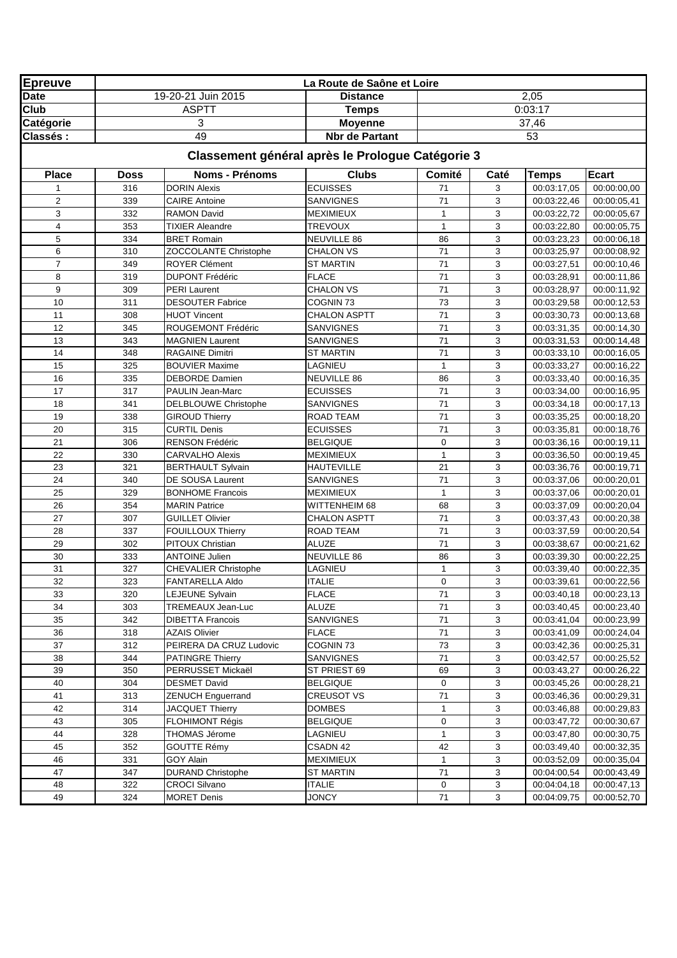| <b>Epreuve</b>  |             |                                              | La Route de Saône et Loire                       |                    |        |                            |                            |
|-----------------|-------------|----------------------------------------------|--------------------------------------------------|--------------------|--------|----------------------------|----------------------------|
| <b>Date</b>     |             | 19-20-21 Juin 2015                           | <b>Distance</b>                                  |                    |        | 2,05                       |                            |
| Club            |             | <b>ASPTT</b>                                 | <b>Temps</b>                                     |                    |        | 0:03:17                    |                            |
| Catégorie       |             | 3                                            | <b>Moyenne</b>                                   |                    |        | 37,46                      |                            |
| <b>Classés:</b> |             | 49                                           | <b>Nbr de Partant</b>                            |                    |        | 53                         |                            |
|                 |             |                                              | Classement général après le Prologue Catégorie 3 |                    |        |                            |                            |
| <b>Place</b>    | <b>Doss</b> | <b>Noms - Prénoms</b>                        | <b>Clubs</b>                                     | Comité             | Caté   | Temps                      | <b>Ecart</b>               |
|                 | 316         | <b>DORIN Alexis</b>                          | <b>ECUISSES</b>                                  | 71                 | 3      | 00:03:17,05                | 00:00:00,00                |
| $\overline{2}$  | 339         | <b>CAIRE Antoine</b>                         | <b>SANVIGNES</b>                                 | 71                 | 3      | 00:03:22,46                | 00:00:05,41                |
| 3               | 332         | <b>RAMON David</b>                           | <b>MEXIMIEUX</b>                                 | $\mathbf{1}$       | 3      | 00:03:22,72                | 00:00:05,67                |
| 4               | 353         | <b>TIXIER Aleandre</b>                       | <b>TREVOUX</b>                                   | $\mathbf{1}$       | 3      | 00:03:22,80                | 00:00:05,75                |
| 5               | 334         | <b>BRET Romain</b>                           | NEUVILLE 86                                      | 86                 | 3      | 00:03:23,23                | 00:00:06,18                |
| 6               | 310         | ZOCCOLANTE Christophe                        | <b>CHALON VS</b>                                 | 71                 | 3      | 00:03:25,97                | 00:00:08,92                |
| $\overline{7}$  | 349         | <b>ROYER Clément</b>                         | <b>ST MARTIN</b>                                 | 71                 | 3      | 00:03:27,51                | 00:00:10,46                |
| 8               | 319         | <b>DUPONT Frédéric</b>                       | <b>FLACE</b>                                     | 71                 | 3      | 00:03:28,91                | 00:00:11,86                |
| 9               | 309         | <b>PERI Laurent</b>                          | <b>CHALON VS</b>                                 | 71                 | 3      | 00:03:28,97                | 00:00:11,92                |
| 10              | 311         | <b>DESOUTER Fabrice</b>                      | COGNIN 73                                        | 73                 | 3      | 00:03:29,58                | 00:00:12,53                |
| 11              | 308         | <b>HUOT Vincent</b>                          | <b>CHALON ASPTT</b>                              | 71                 | 3      | 00:03:30,73                | 00:00:13,68                |
| 12              | 345         | ROUGEMONT Frédéric                           | SANVIGNES                                        | 71                 | 3      | 00:03:31,35                | 00:00:14,30                |
| 13              | 343         | <b>MAGNIEN Laurent</b>                       | <b>SANVIGNES</b>                                 | 71                 | 3      | 00:03:31,53                | 00:00:14,48                |
| 14              | 348         | RAGAINE Dimitri                              | <b>ST MARTIN</b>                                 | 71                 | 3      | 00:03:33,10                | 00:00:16,05                |
| 15              | 325         | <b>BOUVIER Maxime</b>                        | LAGNIEU                                          | $\mathbf{1}$       | 3      | 00:03:33,27                | 00:00:16,22                |
| 16              | 335         | <b>DEBORDE</b> Damien                        | NEUVILLE 86                                      | 86                 | 3      | 00:03:33,40                | 00:00:16,35                |
| 17              | 317         | <b>PAULIN Jean-Marc</b>                      | <b>ECUISSES</b>                                  | 71                 | 3      | 00:03:34,00                | 00:00:16,95                |
| 18              | 341         | DELBLOUWE Christophe                         | SANVIGNES                                        | 71                 | 3      | 00:03:34,18                | 00:00:17,13                |
| 19              | 338         | <b>GIROUD Thierry</b>                        | ROAD TEAM                                        | 71                 | 3      | 00:03:35,25                | 00:00:18,20                |
| 20              | 315         | <b>CURTIL Denis</b>                          | <b>ECUISSES</b>                                  | 71                 | 3      | 00:03:35,81                | 00:00:18,76                |
| 21              | 306         | RENSON Frédéric                              | <b>BELGIQUE</b>                                  | $\mathbf 0$        | 3      | 00:03:36,16                | 00:00:19,11                |
| 22<br>23        | 330<br>321  | <b>CARVALHO Alexis</b>                       | <b>MEXIMIEUX</b><br><b>HAUTEVILLE</b>            | $\mathbf{1}$<br>21 | 3<br>3 | 00:03:36,50<br>00:03:36,76 | 00:00:19,45<br>00:00:19,71 |
| 24              | 340         | <b>BERTHAULT Sylvain</b><br>DE SOUSA Laurent | SANVIGNES                                        | 71                 | 3      | 00:03:37,06                | 00:00:20,01                |
| 25              | 329         | <b>BONHOME Francois</b>                      | <b>MEXIMIEUX</b>                                 | $\mathbf{1}$       | 3      | 00:03:37,06                | 00:00:20,01                |
| 26              | 354         | <b>MARIN Patrice</b>                         | WITTENHEIM 68                                    | 68                 | 3      | 00:03:37,09                | 00:00:20,04                |
| 27              | 307         | <b>GUILLET Olivier</b>                       | <b>CHALON ASPTT</b>                              | 71                 | 3      | 00:03:37,43                | 00:00:20,38                |
| 28              | 337         | FOUILLOUX Thierry                            | ROAD TEAM                                        | 71                 | 3      | 00:03:37,59                | 00:00:20,54                |
| 29              | 302         | PITOUX Christian                             | ALUZE                                            | 71                 | 3      | 00:03:38,67                | 00:00:21,62                |
| 30              | 333         | <b>ANTOINE Julien</b>                        | NEUVILLE 86                                      | 86                 | 3      | 00:03:39,30                | 00:00:22,25                |
| 31              | 327         | <b>CHEVALIER Christophe</b>                  | LAGNIEU                                          | $\mathbf{1}$       | 3      | 00:03:39,40                | 00:00:22,35                |
| 32              | 323         | FANTARELLA Aldo                              | <b>ITALIE</b>                                    | $\pmb{0}$          | 3      | 00:03:39,61                | 00:00:22,56                |
| 33              | 320         | <b>LEJEUNE Sylvain</b>                       | <b>FLACE</b>                                     | 71                 | 3      | 00:03:40,18                | 00:00:23,13                |
| 34              | 303         | TREMEAUX Jean-Luc                            | <b>ALUZE</b>                                     | 71                 | 3      | 00:03:40,45                | 00:00:23,40                |
| 35              | 342         | DIBETTA Francois                             | SANVIGNES                                        | 71                 | 3      | 00:03:41,04                | 00:00:23,99                |
| 36              | 318         | <b>AZAIS Olivier</b>                         | <b>FLACE</b>                                     | 71                 | 3      | 00:03:41,09                | 00:00:24,04                |
| 37              | 312         | PEIRERA DA CRUZ Ludovic                      | COGNIN 73                                        | 73                 | 3      | 00:03:42,36                | 00:00:25,31                |
| 38              | 344         | <b>PATINGRE Thierry</b>                      | SANVIGNES                                        | 71                 | 3      | 00:03:42,57                | 00:00:25,52                |
| 39              | 350         | PERRUSSET Mickaël                            | ST PRIEST 69                                     | 69                 | 3      | 00:03:43,27                | 00:00:26,22                |
| 40              | 304         | <b>DESMET David</b>                          | <b>BELGIQUE</b>                                  | 0                  | 3      | 00:03:45,26                | 00:00:28,21                |
| 41              | 313         | <b>ZENUCH Enguerrand</b>                     | <b>CREUSOT VS</b>                                | 71                 | 3      | 00:03:46,36                | 00:00:29,31                |
| 42              | 314         | <b>JACQUET Thierry</b>                       | DOMBES                                           | 1                  | 3      | 00:03:46,88                | 00:00:29,83                |
| 43              | 305         | FLOHIMONT Régis                              | <b>BELGIQUE</b>                                  | 0                  | 3      | 00:03:47,72                | 00:00:30,67                |
| 44              | 328         | <b>THOMAS Jérome</b>                         | LAGNIEU                                          | 1                  | 3      | 00:03:47,80                | 00:00:30,75                |
| 45              | 352         | <b>GOUTTE Rémy</b>                           | CSADN 42                                         | 42                 | 3      | 00:03:49,40                | 00:00:32,35                |
| 46              | 331         | GOY Alain                                    | <b>MEXIMIEUX</b>                                 | 1                  | 3      | 00:03:52,09                | 00:00:35,04                |
| 47              | 347         | <b>DURAND Christophe</b>                     | <b>ST MARTIN</b>                                 | 71                 | 3      | 00:04:00,54                | 00:00:43,49                |
| 48              | 322         | <b>CROCI Silvano</b>                         | <b>ITALIE</b>                                    | 0                  | 3      | 00:04:04,18                | 00:00:47,13                |
| 49              | 324         | <b>MORET Denis</b>                           | <b>JONCY</b>                                     | 71                 | 3      | 00:04:09,75                | 00:00:52,70                |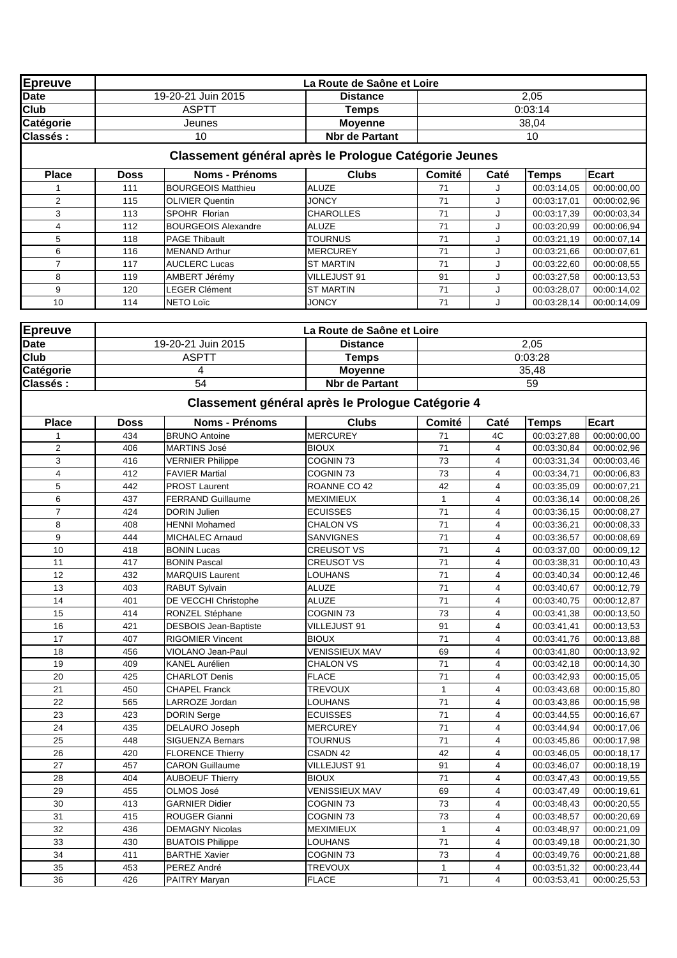| <b>Epreuve</b> |             |                              | La Route de Saône et Loire                            |              |                |              |             |
|----------------|-------------|------------------------------|-------------------------------------------------------|--------------|----------------|--------------|-------------|
| <b>Date</b>    |             | 19-20-21 Juin 2015           | <b>Distance</b>                                       |              |                | 2,05         |             |
| Club           |             | <b>ASPTT</b>                 | <b>Temps</b>                                          |              |                | 0:03:14      |             |
| Catégorie      |             | Jeunes                       | <b>Moyenne</b>                                        |              |                | 38,04        |             |
| Classés:       |             | 10                           | <b>Nbr de Partant</b>                                 |              |                | 10           |             |
|                |             |                              | Classement général après le Prologue Catégorie Jeunes |              |                |              |             |
| <b>Place</b>   | Doss        | <b>Noms - Prénoms</b>        | <b>Clubs</b>                                          | Comité       | Caté           | <b>Temps</b> | Ecart       |
|                | 111         | <b>BOURGEOIS Matthieu</b>    | <b>ALUZE</b>                                          | 71           | J              | 00:03:14,05  | 00:00:00,00 |
| $\overline{2}$ | 115         | <b>OLIVIER Quentin</b>       | <b>JONCY</b>                                          | 71           | J              | 00:03:17,01  | 00:00:02,96 |
| 3              | 113         | SPOHR Florian                | <b>CHAROLLES</b>                                      | 71           | J              | 00:03:17,39  | 00:00:03,34 |
| 4              | 112         | <b>BOURGEOIS Alexandre</b>   | <b>ALUZE</b>                                          | 71           | J              | 00:03:20,99  | 00:00:06.94 |
| 5              | 118         | <b>PAGE Thibault</b>         | <b>TOURNUS</b>                                        | 71           | J              | 00:03:21,19  | 00:00:07,14 |
| 6              | 116         | <b>MENAND Arthur</b>         | <b>MERCUREY</b>                                       | 71           | J              | 00:03:21,66  | 00:00:07,61 |
| $\overline{7}$ | 117         | <b>AUCLERC Lucas</b>         | <b>ST MARTIN</b>                                      | 71           | J              | 00:03:22,60  | 00:00:08,55 |
| 8              | 119         | AMBERT Jérémy                | VILLEJUST 91                                          | 91           | J              | 00:03:27,58  | 00:00:13,53 |
| 9              | 120         | <b>LEGER Clément</b>         | <b>ST MARTIN</b>                                      | 71           | J              | 00:03:28,07  | 00:00:14,02 |
| 10             | 114         | NETO Loïc                    | <b>JONCY</b>                                          | 71           | J              | 00:03:28,14  | 00:00:14,09 |
| <b>Epreuve</b> |             |                              | La Route de Saône et Loire                            |              |                |              |             |
| <b>Date</b>    |             | 19-20-21 Juin 2015           | <b>Distance</b>                                       |              |                |              |             |
|                |             |                              |                                                       |              |                | 2,05         |             |
| Club           |             | <b>ASPTT</b>                 | <b>Temps</b>                                          |              |                | 0:03:28      |             |
| Catégorie      |             | 4                            | <b>Moyenne</b>                                        |              |                | 35,48        |             |
| Classés:       |             | 54                           | <b>Nbr</b> de Partant                                 |              |                | 59           |             |
|                |             |                              | Classement général après le Prologue Catégorie 4      |              |                |              |             |
| <b>Place</b>   | <b>Doss</b> | Noms - Prénoms               | <b>Clubs</b>                                          | Comité       | Caté           | <b>Temps</b> | Ecart       |
|                | 434         | <b>BRUNO Antoine</b>         | <b>MERCUREY</b>                                       | 71           | 4C             | 00:03:27,88  | 00:00:00,00 |
| $\overline{2}$ | 406         | <b>MARTINS José</b>          | <b>BIOUX</b>                                          | 71           | 4              | 00:03:30,84  | 00:00:02,96 |
| 3              | 416         | <b>VERNIER Philippe</b>      | COGNIN <sub>73</sub>                                  | 73           | 4              | 00:03:31,34  | 00:00:03,46 |
| $\overline{4}$ | 412         | <b>FAVIER Martial</b>        | COGNIN <sub>73</sub>                                  | 73           | 4              | 00:03:34,71  | 00:00:06,83 |
| 5              | 442         | <b>PROST Laurent</b>         | ROANNE CO 42                                          | 42           | 4              | 00:03:35,09  | 00:00:07,21 |
| 6              | 437         | <b>FERRAND Guillaume</b>     | <b>MEXIMIEUX</b>                                      | 1            | 4              | 00:03:36,14  | 00:00:08.26 |
| $\overline{7}$ | 424         | <b>DORIN Julien</b>          | <b>ECUISSES</b>                                       | 71           | 4              | 00:03:36,15  | 00:00:08,27 |
| 8              | 408         | <b>HENNI Mohamed</b>         | <b>CHALON VS</b>                                      | 71           | $\overline{4}$ | 00:03:36,21  | 00:00:08,33 |
| 9              | 444         | <b>MICHALEC Arnaud</b>       | <b>SANVIGNES</b>                                      | 71           | 4              | 00:03:36,57  | 00:00:08,69 |
| 10             | 418         | <b>BONIN Lucas</b>           | <b>CREUSOT VS</b>                                     | 71           | 4              | 00:03:37.00  | 00:00:09.12 |
| 11             | 417         | <b>BONIN Pascal</b>          | <b>CREUSOT VS</b>                                     | 71           | 4              | 00:03:38,31  | 00:00:10,43 |
| 12             | 432         | <b>MARQUIS Laurent</b>       | <b>LOUHANS</b>                                        | 71           | 4              | 00:03:40,34  | 00:00:12,46 |
| 13             | 403         | RABUT Sylvain                | <b>ALUZE</b>                                          | 71           | 4              | 00:03:40.67  | 00:00:12,79 |
| 14             | 401         | DE VECCHI Christophe         | <b>ALUZE</b>                                          | 71           | 4              | 00:03:40,75  | 00:00:12,87 |
| 15             | 414         | RONZEL Stéphane              | COGNIN 73                                             | 73           | 4              | 00:03:41,38  | 00:00:13,50 |
| 16             | 421         | <b>DESBOIS Jean-Baptiste</b> | VILLEJUST 91                                          | 91           | 4              | 00:03:41,41  | 00:00:13,53 |
| 17             | 407         | <b>RIGOMIER Vincent</b>      | <b>BIOUX</b>                                          | 71           | 4              | 00:03:41,76  | 00:00:13,88 |
| 18             | 456         | VIOLANO Jean-Paul            | <b>VENISSIEUX MAV</b>                                 | 69           | 4              | 00:03:41,80  | 00:00:13,92 |
| 19             | 409         | KANEL Aurélien               | <b>CHALON VS</b>                                      | 71           | 4              | 00:03:42,18  | 00:00:14,30 |
| 20             | 425         | CHARLOT Denis                | <b>FLACE</b>                                          | 71           | 4              | 00:03:42,93  | 00:00:15,05 |
| 21             | 450         | <b>CHAPEL Franck</b>         | TREVOUX                                               | $\mathbf{1}$ | 4              | 00:03:43,68  | 00:00:15,80 |
| 22             | 565         | LARROZE Jordan               | LOUHANS                                               | 71           | 4              | 00:03:43,86  | 00:00:15,98 |
| 23             | 423         | <b>DORIN</b> Serge           | <b>ECUISSES</b>                                       | 71           | 4              | 00:03:44,55  | 00:00:16.67 |
| 24             | 435         | DELAURO Joseph               | <b>MERCUREY</b>                                       | 71           | 4              | 00:03:44,94  | 00:00:17,06 |
| 25             | 448         | SIGUENZA Bernars             | <b>TOURNUS</b>                                        | 71           | 4              | 00:03:45,86  | 00:00:17,98 |
| 26             | 420         | <b>FLORENCE Thierry</b>      | CSADN 42                                              | 42           | 4              | 00:03:46,05  | 00:00:18,17 |
| 27             | 457         | <b>CARON Guillaume</b>       | VILLEJUST 91                                          | 91           | 4              | 00:03:46,07  | 00:00:18,19 |
| 28             | 404         | <b>AUBOEUF Thierry</b>       | <b>BIOUX</b>                                          | 71           | $\overline{4}$ | 00:03:47,43  | 00:00:19,55 |
| 29             | 455         | OLMOS José                   | <b>VENISSIEUX MAV</b>                                 | 69           | 4              | 00:03:47,49  | 00:00:19,61 |
| 30             | 413         | <b>GARNIER Didier</b>        | COGNIN 73                                             | 73           | 4              | 00:03:48,43  | 00:00:20,55 |
| 31             | 415         | ROUGER Gianni                | COGNIN 73                                             | 73           | 4              | 00:03:48,57  | 00:00:20,69 |
| 32             | 436         | <b>DEMAGNY Nicolas</b>       | <b>MEXIMIEUX</b>                                      | 1            | 4              | 00:03:48,97  | 00:00:21,09 |
| 33             | 430         | <b>BUATOIS Philippe</b>      | LOUHANS                                               | 71           | 4              | 00:03:49,18  | 00:00:21,30 |
| 34             | 411         | <b>BARTHE Xavier</b>         | COGNIN 73                                             | $73\,$       | 4              | 00:03:49,76  | 00:00:21,88 |

34 411 BARTHE Xavier COGNIN 73 73 4 00:03:49,76 00:00:21,88<br>35 453 PEREZ André TREVOUX 1 4 00:03:51,32 00:00:23,44<br>36 426 PAITRY Maryan FLACE 71 4 00:03:53,41 00:00:25,53

35 453 PEREZ André TREVOUX 1 4 00:03:51,32<br>36 426 PAITRY Maryan FLACE 71 4 00:03:53,41

PAITRY Maryan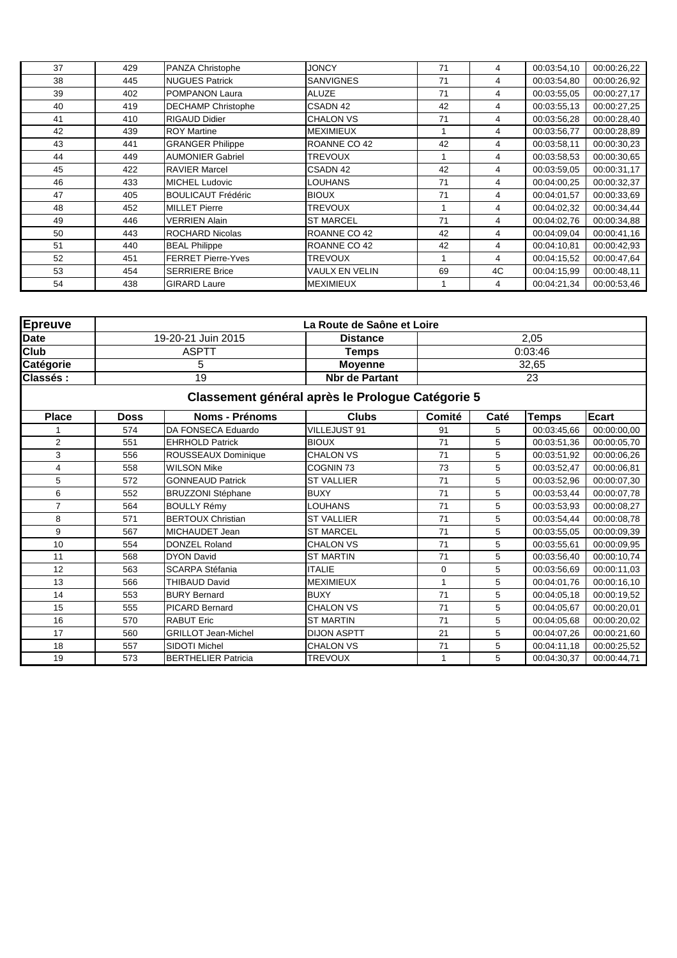| 37 | 429 | PANZA Christophe          | <b>JONCY</b>     | 71 | 4  | 00:03:54,10 | 00:00:26,22 |
|----|-----|---------------------------|------------------|----|----|-------------|-------------|
| 38 | 445 | <b>NUGUES Patrick</b>     | <b>SANVIGNES</b> | 71 | 4  | 00:03:54.80 | 00:00:26,92 |
| 39 | 402 | <b>POMPANON Laura</b>     | <b>ALUZE</b>     | 71 | 4  | 00:03:55,05 | 00:00:27,17 |
| 40 | 419 | <b>DECHAMP Christophe</b> | CSADN 42         | 42 | 4  | 00:03:55,13 | 00:00:27,25 |
| 41 | 410 | <b>RIGAUD Didier</b>      | <b>CHALON VS</b> | 71 | 4  | 00:03:56.28 | 00:00:28,40 |
| 42 | 439 | <b>ROY Martine</b>        | <b>MEXIMIEUX</b> |    | 4  | 00:03:56,77 | 00:00:28,89 |
| 43 | 441 | <b>GRANGER Philippe</b>   | ROANNE CO 42     | 42 | 4  | 00:03:58,11 | 00:00:30.23 |
| 44 | 449 | <b>AUMONIER Gabriel</b>   | <b>TREVOUX</b>   |    | 4  | 00:03:58,53 | 00:00:30.65 |
| 45 | 422 | <b>RAVIER Marcel</b>      | CSADN 42         | 42 | 4  | 00:03:59.05 | 00:00:31,17 |
| 46 | 433 | <b>MICHEL Ludovic</b>     | <b>LOUHANS</b>   | 71 | 4  | 00:04:00.25 | 00:00:32,37 |
| 47 | 405 | <b>BOULICAUT Frédéric</b> | <b>BIOUX</b>     | 71 | 4  | 00:04:01.57 | 00:00:33,69 |
| 48 | 452 | <b>MILLET Pierre</b>      | <b>TREVOUX</b>   |    | 4  | 00:04:02.32 | 00:00:34,44 |
| 49 | 446 | <b>VERRIEN Alain</b>      | <b>ST MARCEL</b> | 71 | 4  | 00:04:02.76 | 00:00:34,88 |
| 50 | 443 | <b>ROCHARD Nicolas</b>    | ROANNE CO 42     | 42 | 4  | 00:04:09.04 | 00:00:41.16 |
| 51 | 440 | <b>BEAL Philippe</b>      | ROANNE CO 42     | 42 | 4  | 00:04:10.81 | 00:00:42,93 |
| 52 | 451 | <b>FERRET Pierre-Yves</b> | <b>TREVOUX</b>   |    | 4  | 00:04:15.52 | 00:00:47,64 |
| 53 | 454 | <b>SERRIERE Brice</b>     | VAULX EN VELIN   | 69 | 4C | 00:04:15.99 | 00:00:48.11 |
| 54 | 438 | <b>GIRARD Laure</b>       | <b>MEXIMIEUX</b> |    | 4  | 00:04:21,34 | 00:00:53,46 |

| <b>Epreuve</b> |             |                            | La Route de Saône et Loire                       |                |       |              |              |  |  |  |  |
|----------------|-------------|----------------------------|--------------------------------------------------|----------------|-------|--------------|--------------|--|--|--|--|
| <b>Date</b>    |             | 19-20-21 Juin 2015         | <b>Distance</b>                                  |                |       | 2,05         |              |  |  |  |  |
| <b>Club</b>    |             | <b>ASPTT</b>               | <b>Temps</b>                                     |                |       | 0:03:46      |              |  |  |  |  |
| Catégorie      |             | 5                          | <b>Moyenne</b>                                   |                | 32,65 |              |              |  |  |  |  |
| Classés:       |             | 19                         | <b>Nbr de Partant</b>                            |                | 23    |              |              |  |  |  |  |
|                |             |                            | Classement général après le Prologue Catégorie 5 |                |       |              |              |  |  |  |  |
| <b>Place</b>   | <b>Doss</b> | <b>Noms - Prénoms</b>      | <b>Clubs</b>                                     | Comité         | Caté  | <b>Temps</b> | <b>Ecart</b> |  |  |  |  |
|                | 574         | DA FONSECA Eduardo         | VILLEJUST 91                                     | 91             | 5     | 00:03:45.66  | 00:00:00,00  |  |  |  |  |
| $\overline{2}$ | 551         | <b>EHRHOLD Patrick</b>     | <b>BIOUX</b>                                     | 71             | 5     | 00:03:51,36  | 00:00:05.70  |  |  |  |  |
| 3              | 556         | <b>ROUSSEAUX Dominique</b> | <b>CHALON VS</b>                                 | 71             | 5     | 00:03:51,92  | 00:00:06.26  |  |  |  |  |
| 4              | 558         | <b>WILSON Mike</b>         | COGNIN 73                                        | 73             | 5     | 00:03:52,47  | 00:00:06,81  |  |  |  |  |
| 5              | 572         | <b>GONNEAUD Patrick</b>    | <b>ST VALLIER</b>                                | 71             | 5     | 00:03:52,96  | 00:00:07,30  |  |  |  |  |
| 6              | 552         | <b>BRUZZONI Stéphane</b>   | <b>BUXY</b>                                      | 71             | 5     | 00:03:53.44  | 00:00:07,78  |  |  |  |  |
| $\overline{7}$ | 564         | <b>BOULLY Rémy</b>         | <b>LOUHANS</b>                                   | 71             | 5     | 00:03:53,93  | 00:00:08,27  |  |  |  |  |
| 8              | 571         | <b>BERTOUX Christian</b>   | <b>ST VALLIER</b>                                | 71             | 5     | 00:03:54,44  | 00:00:08,78  |  |  |  |  |
| 9              | 567         | MICHAUDET Jean             | <b>ST MARCEL</b>                                 | 71             | 5     | 00:03:55,05  | 00:00:09.39  |  |  |  |  |
| 10             | 554         | <b>DONZEL Roland</b>       | <b>CHALON VS</b>                                 | 71             | 5     | 00:03:55.61  | 00:00:09.95  |  |  |  |  |
| 11             | 568         | <b>DYON David</b>          | <b>ST MARTIN</b>                                 | 71             | 5     | 00:03:56,40  | 00:00:10,74  |  |  |  |  |
| 12             | 563         | <b>SCARPA Stéfania</b>     | <b>ITALIE</b>                                    | $\mathbf 0$    | 5     | 00:03:56,69  | 00:00:11,03  |  |  |  |  |
| 13             | 566         | <b>THIBAUD David</b>       | <b>MEXIMIEUX</b>                                 | $\overline{1}$ | 5     | 00:04:01.76  | 00:00:16,10  |  |  |  |  |
| 14             | 553         | <b>BURY Bernard</b>        | <b>BUXY</b>                                      | 71             | 5     | 00:04:05.18  | 00:00:19,52  |  |  |  |  |
| 15             | 555         | <b>PICARD Bernard</b>      | <b>CHALON VS</b>                                 | 71             | 5     | 00:04:05.67  | 00:00:20,01  |  |  |  |  |
| 16             | 570         | <b>RABUT Eric</b>          | <b>ST MARTIN</b>                                 | 71             | 5     | 00:04:05.68  | 00:00:20,02  |  |  |  |  |
| 17             | 560         | <b>GRILLOT Jean-Michel</b> | <b>DIJON ASPTT</b>                               | 21             | 5     | 00:04:07.26  | 00:00:21,60  |  |  |  |  |
| 18             | 557         | SIDOTI Michel              | <b>CHALON VS</b>                                 | 71             | 5     | 00:04:11.18  | 00:00:25,52  |  |  |  |  |
| 19             | 573         | <b>BERTHELIER Patricia</b> | <b>TREVOUX</b>                                   | $\mathbf{1}$   | 5     | 00:04:30,37  | 00:00:44,71  |  |  |  |  |